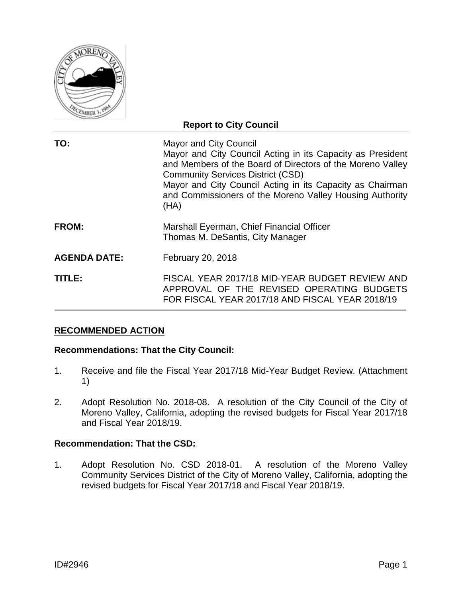

| <b>Report to City Council</b> |                                                                                                                                                                                                                                                                                                                                        |  |  |  |  |  |  |
|-------------------------------|----------------------------------------------------------------------------------------------------------------------------------------------------------------------------------------------------------------------------------------------------------------------------------------------------------------------------------------|--|--|--|--|--|--|
| TO:                           | <b>Mayor and City Council</b><br>Mayor and City Council Acting in its Capacity as President<br>and Members of the Board of Directors of the Moreno Valley<br><b>Community Services District (CSD)</b><br>Mayor and City Council Acting in its Capacity as Chairman<br>and Commissioners of the Moreno Valley Housing Authority<br>(HA) |  |  |  |  |  |  |
| <b>FROM:</b>                  | Marshall Eyerman, Chief Financial Officer<br>Thomas M. DeSantis, City Manager                                                                                                                                                                                                                                                          |  |  |  |  |  |  |
| <b>AGENDA DATE:</b>           | February 20, 2018                                                                                                                                                                                                                                                                                                                      |  |  |  |  |  |  |
| TITLE:                        | FISCAL YEAR 2017/18 MID-YEAR BUDGET REVIEW AND<br>APPROVAL OF THE REVISED OPERATING BUDGETS<br>FOR FISCAL YEAR 2017/18 AND FISCAL YEAR 2018/19                                                                                                                                                                                         |  |  |  |  |  |  |

# **RECOMMENDED ACTION**

# **Recommendations: That the City Council:**

- 1. Receive and file the Fiscal Year 2017/18 Mid-Year Budget Review. (Attachment 1)
- 2. Adopt Resolution No. 2018-08. A resolution of the City Council of the City of Moreno Valley, California, adopting the revised budgets for Fiscal Year 2017/18 and Fiscal Year 2018/19.

#### **Recommendation: That the CSD:**

1. Adopt Resolution No. CSD 2018-01. A resolution of the Moreno Valley Community Services District of the City of Moreno Valley, California, adopting the revised budgets for Fiscal Year 2017/18 and Fiscal Year 2018/19.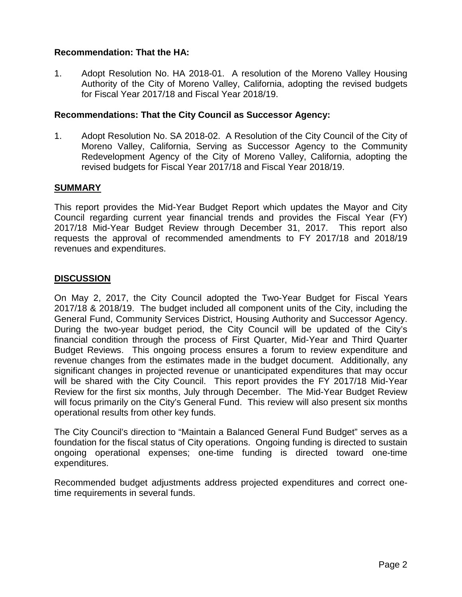# **Recommendation: That the HA:**

1. Adopt Resolution No. HA 2018-01. A resolution of the Moreno Valley Housing Authority of the City of Moreno Valley, California, adopting the revised budgets for Fiscal Year 2017/18 and Fiscal Year 2018/19.

# **Recommendations: That the City Council as Successor Agency:**

1. Adopt Resolution No. SA 2018-02. A Resolution of the City Council of the City of Moreno Valley, California, Serving as Successor Agency to the Community Redevelopment Agency of the City of Moreno Valley, California, adopting the revised budgets for Fiscal Year 2017/18 and Fiscal Year 2018/19.

## **SUMMARY**

This report provides the Mid-Year Budget Report which updates the Mayor and City Council regarding current year financial trends and provides the Fiscal Year (FY) 2017/18 Mid-Year Budget Review through December 31, 2017. This report also requests the approval of recommended amendments to FY 2017/18 and 2018/19 revenues and expenditures.

# **DISCUSSION**

On May 2, 2017, the City Council adopted the Two-Year Budget for Fiscal Years 2017/18 & 2018/19. The budget included all component units of the City, including the General Fund, Community Services District, Housing Authority and Successor Agency. During the two-year budget period, the City Council will be updated of the City's financial condition through the process of First Quarter, Mid-Year and Third Quarter Budget Reviews. This ongoing process ensures a forum to review expenditure and revenue changes from the estimates made in the budget document. Additionally, any significant changes in projected revenue or unanticipated expenditures that may occur will be shared with the City Council. This report provides the FY 2017/18 Mid-Year Review for the first six months, July through December. The Mid-Year Budget Review will focus primarily on the City's General Fund. This review will also present six months operational results from other key funds.

The City Council's direction to "Maintain a Balanced General Fund Budget" serves as a foundation for the fiscal status of City operations. Ongoing funding is directed to sustain ongoing operational expenses; one-time funding is directed toward one-time expenditures.

Recommended budget adjustments address projected expenditures and correct onetime requirements in several funds.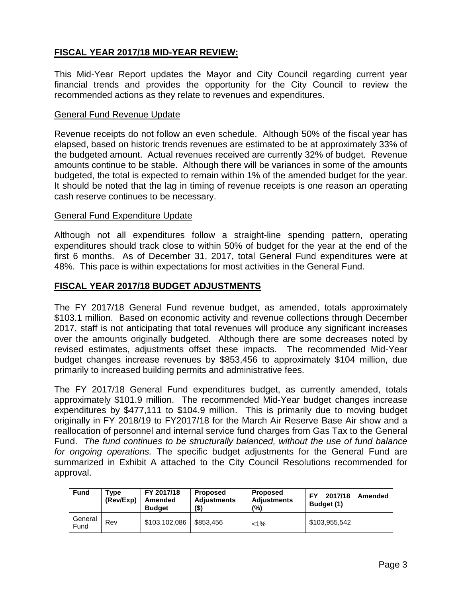# **FISCAL YEAR 2017/18 MID-YEAR REVIEW:**

This Mid-Year Report updates the Mayor and City Council regarding current year financial trends and provides the opportunity for the City Council to review the recommended actions as they relate to revenues and expenditures.

#### General Fund Revenue Update

Revenue receipts do not follow an even schedule. Although 50% of the fiscal year has elapsed, based on historic trends revenues are estimated to be at approximately 33% of the budgeted amount. Actual revenues received are currently 32% of budget. Revenue amounts continue to be stable. Although there will be variances in some of the amounts budgeted, the total is expected to remain within 1% of the amended budget for the year. It should be noted that the lag in timing of revenue receipts is one reason an operating cash reserve continues to be necessary.

#### General Fund Expenditure Update

Although not all expenditures follow a straight-line spending pattern, operating expenditures should track close to within 50% of budget for the year at the end of the first 6 months. As of December 31, 2017, total General Fund expenditures were at 48%. This pace is within expectations for most activities in the General Fund.

# **FISCAL YEAR 2017/18 BUDGET ADJUSTMENTS**

The FY 2017/18 General Fund revenue budget, as amended, totals approximately \$103.1 million. Based on economic activity and revenue collections through December 2017, staff is not anticipating that total revenues will produce any significant increases over the amounts originally budgeted. Although there are some decreases noted by revised estimates, adjustments offset these impacts. The recommended Mid-Year budget changes increase revenues by \$853,456 to approximately \$104 million, due primarily to increased building permits and administrative fees.

The FY 2017/18 General Fund expenditures budget, as currently amended, totals approximately \$101.9 million. The recommended Mid-Year budget changes increase expenditures by \$477,111 to \$104.9 million. This is primarily due to moving budget originally in FY 2018/19 to FY2017/18 for the March Air Reserve Base Air show and a reallocation of personnel and internal service fund charges from Gas Tax to the General Fund. *The fund continues to be structurally balanced, without the use of fund balance for ongoing operations.* The specific budget adjustments for the General Fund are summarized in Exhibit A attached to the City Council Resolutions recommended for approval.

| <b>Fund</b>     | туре<br>(Rev/Exp) | FY 2017/18<br>Amended<br><b>Budget</b> | <b>Proposed</b><br>Adjustments<br>(\$) | <b>Proposed</b><br><b>Adjustments</b><br>(9) | 2017/18<br>FΥ<br>Amended<br>Budget (1) |
|-----------------|-------------------|----------------------------------------|----------------------------------------|----------------------------------------------|----------------------------------------|
| General<br>Fund | Rev               | \$103.102.086                          | \$853.456                              | $< 1\%$                                      | \$103,955,542                          |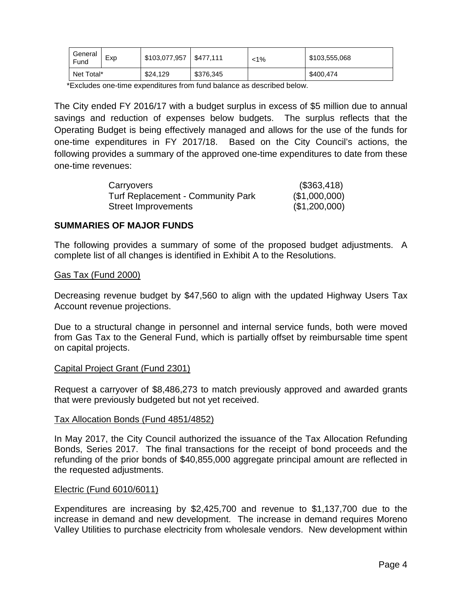| General<br>Fund | Exp | \$103,077,957 | \$477.111 | $< 1\%$ | \$103,555,068 |
|-----------------|-----|---------------|-----------|---------|---------------|
| Net Total*      |     | \$24,129      | \$376,345 |         | \$400,474     |

\*Excludes one-time expenditures from fund balance as described below.

The City ended FY 2016/17 with a budget surplus in excess of \$5 million due to annual savings and reduction of expenses below budgets. The surplus reflects that the Operating Budget is being effectively managed and allows for the use of the funds for one-time expenditures in FY 2017/18. Based on the City Council's actions, the following provides a summary of the approved one-time expenditures to date from these one-time revenues:

| Carryovers                               | (\$363,418)   |
|------------------------------------------|---------------|
| <b>Turf Replacement - Community Park</b> | (\$1,000,000) |
| <b>Street Improvements</b>               | (\$1,200,000) |

## **SUMMARIES OF MAJOR FUNDS**

The following provides a summary of some of the proposed budget adjustments. A complete list of all changes is identified in Exhibit A to the Resolutions.

#### Gas Tax (Fund 2000)

Decreasing revenue budget by \$47,560 to align with the updated Highway Users Tax Account revenue projections.

Due to a structural change in personnel and internal service funds, both were moved from Gas Tax to the General Fund, which is partially offset by reimbursable time spent on capital projects.

#### Capital Project Grant (Fund 2301)

Request a carryover of \$8,486,273 to match previously approved and awarded grants that were previously budgeted but not yet received.

#### Tax Allocation Bonds (Fund 4851/4852)

In May 2017, the City Council authorized the issuance of the Tax Allocation Refunding Bonds, Series 2017. The final transactions for the receipt of bond proceeds and the refunding of the prior bonds of \$40,855,000 aggregate principal amount are reflected in the requested adjustments.

#### Electric (Fund 6010/6011)

Expenditures are increasing by \$2,425,700 and revenue to \$1,137,700 due to the increase in demand and new development. The increase in demand requires Moreno Valley Utilities to purchase electricity from wholesale vendors. New development within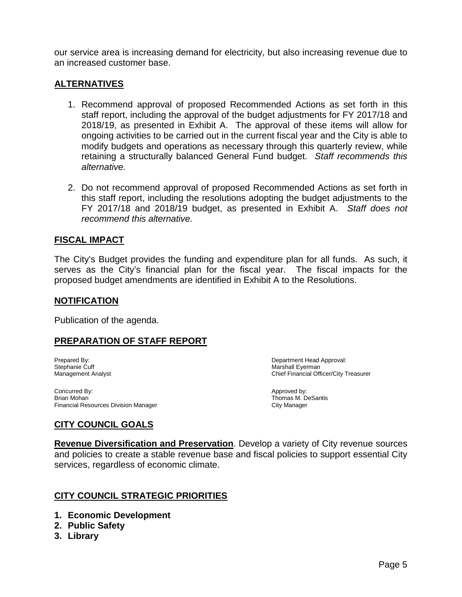our service area is increasing demand for electricity, but also increasing revenue due to an increased customer base.

# **ALTERNATIVES**

- 1. Recommend approval of proposed Recommended Actions as set forth in this staff report, including the approval of the budget adjustments for FY 2017/18 and 2018/19, as presented in Exhibit A. The approval of these items will allow for ongoing activities to be carried out in the current fiscal year and the City is able to modify budgets and operations as necessary through this quarterly review, while retaining a structurally balanced General Fund budget. *Staff recommends this alternative.*
- 2. Do not recommend approval of proposed Recommended Actions as set forth in this staff report, including the resolutions adopting the budget adjustments to the FY 2017/18 and 2018/19 budget, as presented in Exhibit A. *Staff does not recommend this alternative.*

# **FISCAL IMPACT**

The City's Budget provides the funding and expenditure plan for all funds. As such, it serves as the City's financial plan for the fiscal year. The fiscal impacts for the proposed budget amendments are identified in Exhibit A to the Resolutions.

#### **NOTIFICATION**

Publication of the agenda.

# **PREPARATION OF STAFF REPORT**

Stephanie Cuff and the Current Current of the Marshall Eyerman Marshall Eyerman Marshall Eyerman Marshall Eyerman Marshall Eyerman Marshall Eyerman Marshall Eyerman Marshall Eyerman Marshall Officer Current Current Current

Prepared By: <br>
Stephanie Cuff 
Stephanie Cuff

Stephanie Cuff

Cuff

Department Head Approval:<br>
Department Head Approval: Chief Financial Officer/City Treasurer

Concurred By: Concurred By: Approved by: Approved by: Approved by: Approved by: Approved by: Approved by: Approved by: Approved by: Approved by: Approved by: Approved by: Approved by: Approved by: Approved by: Approved by: Financial Resources Division Manager

Thomas M. DeSantis<br>City Manager

# **CITY COUNCIL GOALS**

**Revenue Diversification and Preservation**. Develop a variety of City revenue sources and policies to create a stable revenue base and fiscal policies to support essential City services, regardless of economic climate.

# **CITY COUNCIL STRATEGIC PRIORITIES**

- **1. Economic Development**
- **2. Public Safety**
- **3. Library**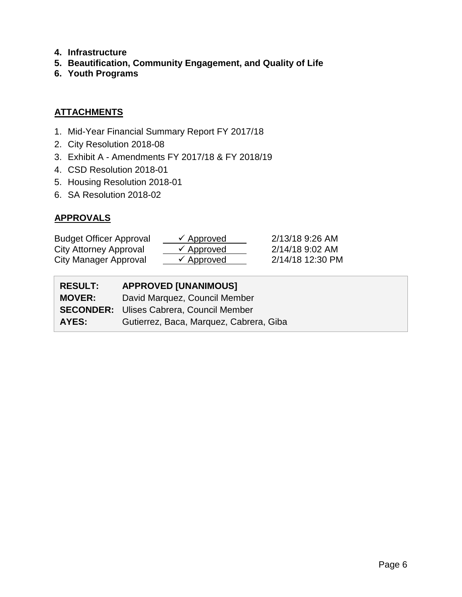- **4. Infrastructure**
- **5. Beautification, Community Engagement, and Quality of Life**
- **6. Youth Programs**

# **ATTACHMENTS**

- 1. Mid-Year Financial Summary Report FY 2017/18
- 2. City Resolution 2018-08
- 3. Exhibit A Amendments FY 2017/18 & FY 2018/19
- 4. CSD Resolution 2018-01
- 5. Housing Resolution 2018-01
- 6. SA Resolution 2018-02

# **APPROVALS**

| <b>Budget Officer Approval</b> | $\checkmark$ Approved | 2/13/18 9:26 AM  |
|--------------------------------|-----------------------|------------------|
| City Attorney Approval         | $\checkmark$ Approved | 2/14/18 9:02 AM  |
| City Manager Approval          | $\checkmark$ Approved | 2/14/18 12:30 PM |

| <b>RESULT:</b> | <b>APPROVED [UNANIMOUS]</b>                     |
|----------------|-------------------------------------------------|
| <b>MOVER:</b>  | David Marquez, Council Member                   |
|                | <b>SECONDER:</b> Ulises Cabrera, Council Member |
| <b>AYES:</b>   | Gutierrez, Baca, Marquez, Cabrera, Giba         |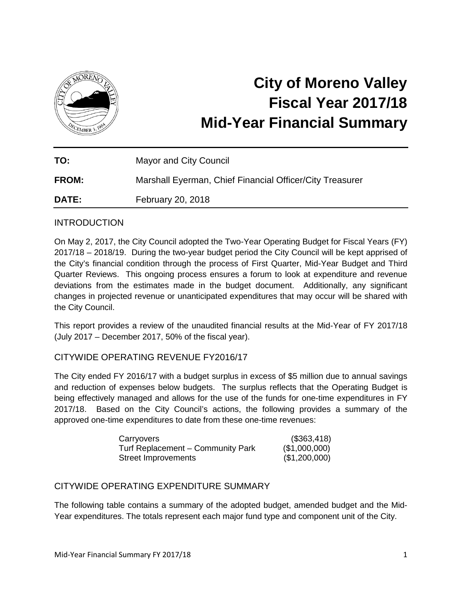

# **City of Moreno Valley Fiscal Year 2017/18 Mid-Year Financial Summary**

| TO:          | Mayor and City Council                                   |
|--------------|----------------------------------------------------------|
| <b>FROM:</b> | Marshall Eyerman, Chief Financial Officer/City Treasurer |
| <b>DATE:</b> | February 20, 2018                                        |

# INTRODUCTION

On May 2, 2017, the City Council adopted the Two-Year Operating Budget for Fiscal Years (FY) 2017/18 – 2018/19. During the two-year budget period the City Council will be kept apprised of the City's financial condition through the process of First Quarter, Mid-Year Budget and Third Quarter Reviews. This ongoing process ensures a forum to look at expenditure and revenue deviations from the estimates made in the budget document. Additionally, any significant changes in projected revenue or unanticipated expenditures that may occur will be shared with the City Council.

This report provides a review of the unaudited financial results at the Mid-Year of FY 2017/18 (July 2017 – December 2017, 50% of the fiscal year).

# CITYWIDE OPERATING REVENUE FY2016/17

The City ended FY 2016/17 with a budget surplus in excess of \$5 million due to annual savings and reduction of expenses below budgets. The surplus reflects that the Operating Budget is being effectively managed and allows for the use of the funds for one-time expenditures in FY 2017/18. Based on the City Council's actions, the following provides a summary of the approved one-time expenditures to date from these one-time revenues:

| Carryovers                        | (\$363,418)   |
|-----------------------------------|---------------|
| Turf Replacement - Community Park | (\$1,000,000) |
| Street Improvements               | (\$1,200,000) |

# CITYWIDE OPERATING EXPENDITURE SUMMARY

The following table contains a summary of the adopted budget, amended budget and the Mid-Year expenditures. The totals represent each major fund type and component unit of the City.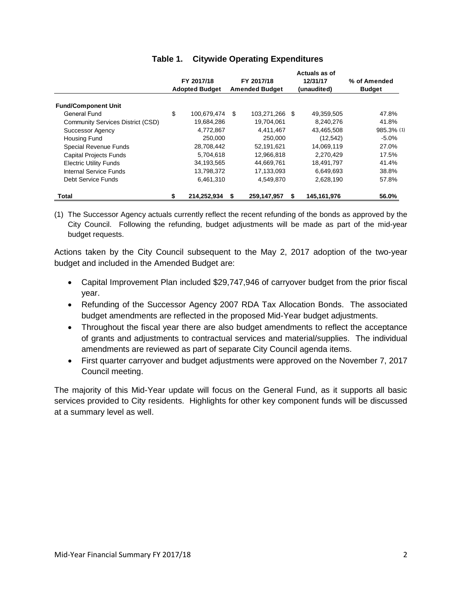|                                   |                                     |             |                       |                |  | Actuals as of |               |
|-----------------------------------|-------------------------------------|-------------|-----------------------|----------------|--|---------------|---------------|
|                                   | FY 2017/18<br><b>Adopted Budget</b> |             |                       | FY 2017/18     |  | 12/31/17      | % of Amended  |
|                                   |                                     |             | <b>Amended Budget</b> |                |  | (unaudited)   | <b>Budget</b> |
| <b>Fund/Component Unit</b>        |                                     |             |                       |                |  |               |               |
| General Fund                      | \$                                  | 100,679,474 | \$                    | 103,271,266 \$ |  | 49,359,505    | 47.8%         |
| Community Services District (CSD) |                                     | 19,684,286  |                       | 19,704,061     |  | 8,240,276     | 41.8%         |
| <b>Successor Agency</b>           |                                     | 4,772,867   |                       | 4,411,467      |  | 43,465,508    | 985.3% (1)    |
| Housing Fund                      |                                     | 250,000     |                       | 250,000        |  | (12,542)      | $-5.0%$       |
| Special Revenue Funds             |                                     | 28,708,442  |                       | 52,191,621     |  | 14,069,119    | 27.0%         |
| <b>Capital Projects Funds</b>     |                                     | 5,704,618   |                       | 12,966,818     |  | 2,270,429     | 17.5%         |
| <b>Electric Utility Funds</b>     |                                     | 34,193,565  |                       | 44,669,761     |  | 18,491,797    | 41.4%         |
| Internal Service Funds            |                                     | 13,798,372  |                       | 17,133,093     |  | 6,649,693     | 38.8%         |
| Debt Service Funds                |                                     | 6,461,310   |                       | 4,549,870      |  | 2,628,190     | 57.8%         |
| Total                             | \$                                  | 214,252,934 | \$                    | 259,147,957    |  | 145,161,976   | 56.0%         |

# **Table 1. Citywide Operating Expenditures**

(1) The Successor Agency actuals currently reflect the recent refunding of the bonds as approved by the City Council. Following the refunding, budget adjustments will be made as part of the mid-year budget requests.

Actions taken by the City Council subsequent to the May 2, 2017 adoption of the two-year budget and included in the Amended Budget are:

- Capital Improvement Plan included \$29,747,946 of carryover budget from the prior fiscal year.
- Refunding of the Successor Agency 2007 RDA Tax Allocation Bonds. The associated budget amendments are reflected in the proposed Mid-Year budget adjustments.
- Throughout the fiscal year there are also budget amendments to reflect the acceptance of grants and adjustments to contractual services and material/supplies. The individual amendments are reviewed as part of separate City Council agenda items.
- First quarter carryover and budget adjustments were approved on the November 7, 2017 Council meeting.

The majority of this Mid-Year update will focus on the General Fund, as it supports all basic services provided to City residents. Highlights for other key component funds will be discussed at a summary level as well.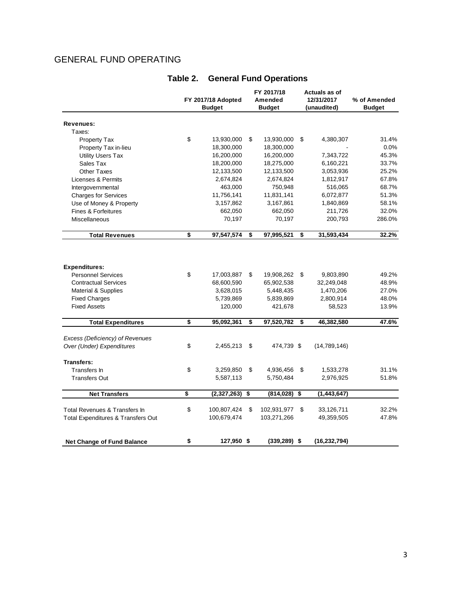# GENERAL FUND OPERATING

|                                               | FY 2017/18 Adopted<br><b>Budget</b> |             | FY 2017/18<br>Amended<br><b>Budget</b> |    | Actuals as of<br>12/31/2017<br>(unaudited) | % of Amended<br><b>Budget</b> |
|-----------------------------------------------|-------------------------------------|-------------|----------------------------------------|----|--------------------------------------------|-------------------------------|
|                                               |                                     |             |                                        |    |                                            |                               |
| Revenues:                                     |                                     |             |                                        |    |                                            |                               |
| Taxes:                                        |                                     |             |                                        |    |                                            |                               |
| Property Tax                                  | \$                                  | 13,930,000  | \$<br>13,930,000                       | \$ | 4,380,307                                  | 31.4%                         |
| Property Tax in-lieu                          |                                     | 18,300,000  | 18,300,000                             |    |                                            | 0.0%                          |
| <b>Utility Users Tax</b>                      |                                     | 16,200,000  | 16,200,000                             |    | 7,343,722                                  | 45.3%                         |
| Sales Tax                                     |                                     | 18,200,000  | 18,275,000                             |    | 6,160,221                                  | 33.7%                         |
| <b>Other Taxes</b>                            |                                     | 12,133,500  | 12,133,500                             |    | 3,053,936                                  | 25.2%                         |
| Licenses & Permits                            |                                     | 2,674,824   | 2,674,824                              |    | 1,812,917                                  | 67.8%                         |
| Intergovernmental                             |                                     | 463,000     | 750,948                                |    | 516,065                                    | 68.7%                         |
| <b>Charges for Services</b>                   |                                     | 11,756,141  | 11,831,141                             |    | 6,072,877                                  | 51.3%                         |
| Use of Money & Property                       |                                     | 3,157,862   | 3,167,861                              |    | 1,840,869                                  | 58.1%                         |
| <b>Fines &amp; Forfeitures</b>                |                                     | 662,050     | 662,050                                |    | 211,726                                    | 32.0%                         |
| Miscellaneous                                 |                                     | 70,197      | 70,197                                 |    | 200,793                                    | 286.0%                        |
| <b>Total Revenues</b>                         | \$                                  | 97,547,574  | \$<br>97,995,521                       | \$ | 31,593,434                                 | 32.2%                         |
|                                               |                                     |             |                                        |    |                                            |                               |
| <b>Expenditures:</b>                          |                                     |             |                                        |    |                                            |                               |
| <b>Personnel Services</b>                     | \$                                  | 17,003,887  | \$<br>19,908,262                       | \$ | 9,803,890                                  | 49.2%                         |
| <b>Contractual Services</b>                   |                                     | 68,600,590  | 65,902,538                             |    | 32,249,048                                 | 48.9%                         |
| <b>Material &amp; Supplies</b>                |                                     | 3,628,015   | 5,448,435                              |    | 1,470,206                                  | 27.0%                         |
| <b>Fixed Charges</b>                          |                                     | 5,739,869   | 5,839,869                              |    | 2,800,914                                  | 48.0%                         |
| <b>Fixed Assets</b>                           |                                     | 120,000     | 421,678                                |    | 58,523                                     | 13.9%                         |
| <b>Total Expenditures</b>                     | \$                                  | 95,092,361  | \$<br>97,520,782                       | \$ | 46,382,580                                 | 47.6%                         |
| Excess (Deficiency) of Revenues               |                                     |             |                                        |    |                                            |                               |
| Over (Under) Expenditures                     | \$                                  | 2,455,213   | \$<br>474,739 \$                       |    | (14,789,146)                               |                               |
| <b>Transfers:</b>                             |                                     |             |                                        |    |                                            |                               |
| Transfers In                                  | \$                                  | 3,259,850   | \$<br>4,936,456                        | \$ | 1,533,278                                  | 31.1%                         |
| <b>Transfers Out</b>                          |                                     | 5,587,113   | 5,750,484                              |    | 2,976,925                                  | 51.8%                         |
| <b>Net Transfers</b>                          | \$                                  | (2,327,263) | \$<br>(814,028)                        | \$ | (1, 443, 647)                              |                               |
| Total Revenues & Transfers In                 | \$                                  | 100,807,424 | \$<br>102,931,977                      | \$ | 33,126,711                                 | 32.2%                         |
| <b>Total Expenditures &amp; Transfers Out</b> |                                     | 100,679,474 | 103,271,266                            |    | 49,359,505                                 | 47.8%                         |
|                                               |                                     |             |                                        |    |                                            |                               |
| <b>Net Change of Fund Balance</b>             | \$                                  | 127,950 \$  | $(339, 289)$ \$                        |    | (16, 232, 794)                             |                               |

# **Table 2. General Fund Operations**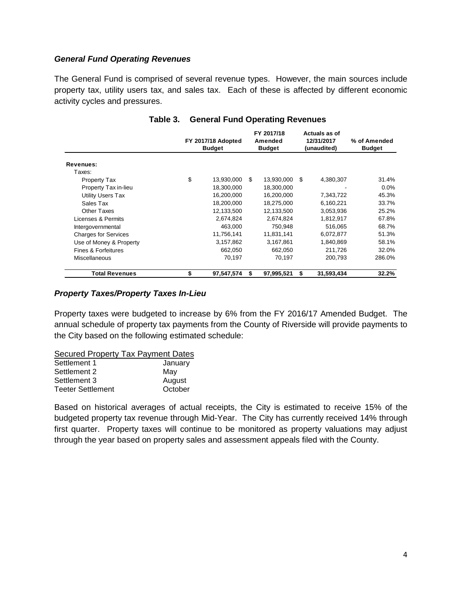#### *General Fund Operating Revenues*

The General Fund is comprised of several revenue types. However, the main sources include property tax, utility users tax, and sales tax. Each of these is affected by different economic activity cycles and pressures.

|                             | FY 2017/18 Adopted<br><b>Budget</b> |            |     | FY 2017/18<br>Amended<br><b>Budget</b> | Actuals as of<br>12/31/2017<br>(unaudited) |            | % of Amended<br><b>Budget</b> |  |
|-----------------------------|-------------------------------------|------------|-----|----------------------------------------|--------------------------------------------|------------|-------------------------------|--|
| Revenues:                   |                                     |            |     |                                        |                                            |            |                               |  |
| Taxes:                      |                                     |            |     |                                        |                                            |            |                               |  |
| Property Tax                | \$                                  | 13,930,000 | \$. | 13,930,000                             | \$.                                        | 4,380,307  | 31.4%                         |  |
| Property Tax in-lieu        |                                     | 18,300,000 |     | 18,300,000                             |                                            |            | $0.0\%$                       |  |
| <b>Utility Users Tax</b>    |                                     | 16,200,000 |     | 16,200,000                             |                                            | 7,343,722  | 45.3%                         |  |
| Sales Tax                   |                                     | 18,200,000 |     | 18,275,000                             |                                            | 6,160,221  | 33.7%                         |  |
| <b>Other Taxes</b>          |                                     | 12,133,500 |     | 12,133,500                             |                                            | 3,053,936  | 25.2%                         |  |
| Licenses & Permits          |                                     | 2,674,824  |     | 2,674,824                              |                                            | 1,812,917  | 67.8%                         |  |
| Intergovernmental           |                                     | 463,000    |     | 750.948                                |                                            | 516,065    | 68.7%                         |  |
| <b>Charges for Services</b> |                                     | 11,756,141 |     | 11,831,141                             |                                            | 6,072,877  | 51.3%                         |  |
| Use of Money & Property     |                                     | 3,157,862  |     | 3,167,861                              |                                            | 1,840,869  | 58.1%                         |  |
| Fines & Forfeitures         |                                     | 662.050    |     | 662.050                                |                                            | 211.726    | 32.0%                         |  |
| <b>Miscellaneous</b>        |                                     | 70,197     |     | 70,197                                 |                                            | 200,793    | 286.0%                        |  |
| <b>Total Revenues</b>       | \$                                  | 97,547,574 | \$  | 97,995,521                             | \$                                         | 31,593,434 | 32.2%                         |  |

## **Table 3. General Fund Operating Revenues**

#### *Property Taxes/Property Taxes In-Lieu*

Property taxes were budgeted to increase by 6% from the FY 2016/17 Amended Budget. The annual schedule of property tax payments from the County of Riverside will provide payments to the City based on the following estimated schedule:

#### Secured Property Tax Payment Dates

| January                  |
|--------------------------|
| May                      |
| August                   |
| October                  |
| <b>Teeter Settlement</b> |

Based on historical averages of actual receipts, the City is estimated to receive 15% of the budgeted property tax revenue through Mid-Year. The City has currently received 14% through first quarter. Property taxes will continue to be monitored as property valuations may adjust through the year based on property sales and assessment appeals filed with the County.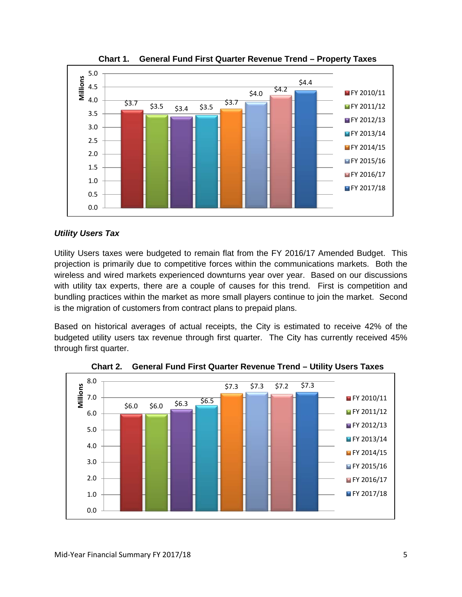

**Chart 1. General Fund First Quarter Revenue Trend – Property Taxes**

#### *Utility Users Tax*

Utility Users taxes were budgeted to remain flat from the FY 2016/17 Amended Budget. This projection is primarily due to competitive forces within the communications markets. Both the wireless and wired markets experienced downturns year over year. Based on our discussions with utility tax experts, there are a couple of causes for this trend. First is competition and bundling practices within the market as more small players continue to join the market. Second is the migration of customers from contract plans to prepaid plans.

Based on historical averages of actual receipts, the City is estimated to receive 42% of the budgeted utility users tax revenue through first quarter. The City has currently received 45% through first quarter.



**Chart 2. General Fund First Quarter Revenue Trend – Utility Users Taxes**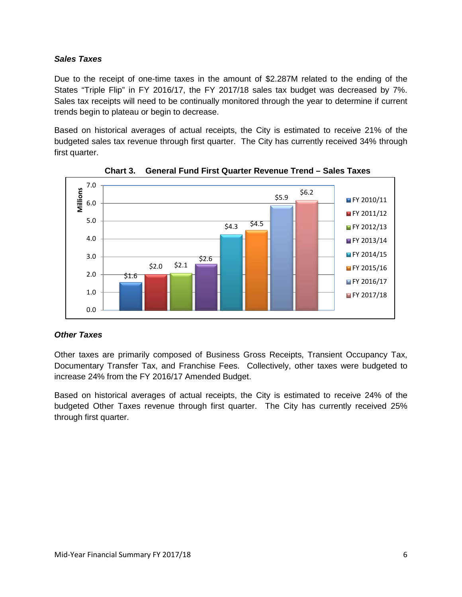#### *Sales Taxes*

Due to the receipt of one-time taxes in the amount of \$2.287M related to the ending of the States "Triple Flip" in FY 2016/17, the FY 2017/18 sales tax budget was decreased by 7%. Sales tax receipts will need to be continually monitored through the year to determine if current trends begin to plateau or begin to decrease.

Based on historical averages of actual receipts, the City is estimated to receive 21% of the budgeted sales tax revenue through first quarter. The City has currently received 34% through first quarter.



**Chart 3. General Fund First Quarter Revenue Trend – Sales Taxes**

# *Other Taxes*

Other taxes are primarily composed of Business Gross Receipts, Transient Occupancy Tax, Documentary Transfer Tax, and Franchise Fees. Collectively, other taxes were budgeted to increase 24% from the FY 2016/17 Amended Budget.

Based on historical averages of actual receipts, the City is estimated to receive 24% of the budgeted Other Taxes revenue through first quarter. The City has currently received 25% through first quarter.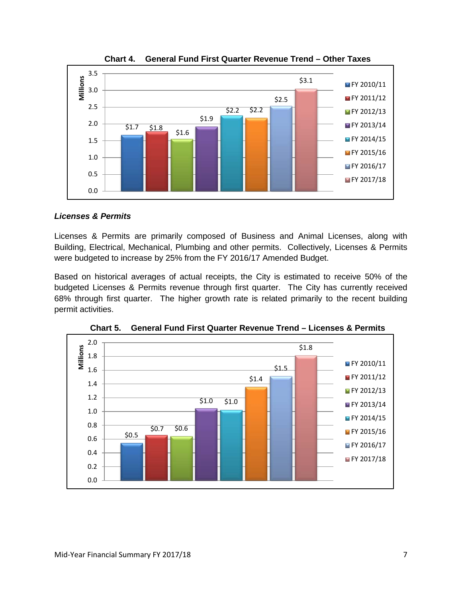

**Chart 4. General Fund First Quarter Revenue Trend – Other Taxes**

# *Licenses & Permits*

Licenses & Permits are primarily composed of Business and Animal Licenses, along with Building, Electrical, Mechanical, Plumbing and other permits. Collectively, Licenses & Permits were budgeted to increase by 25% from the FY 2016/17 Amended Budget.

Based on historical averages of actual receipts, the City is estimated to receive 50% of the budgeted Licenses & Permits revenue through first quarter. The City has currently received 68% through first quarter. The higher growth rate is related primarily to the recent building permit activities.



**Chart 5. General Fund First Quarter Revenue Trend – Licenses & Permits**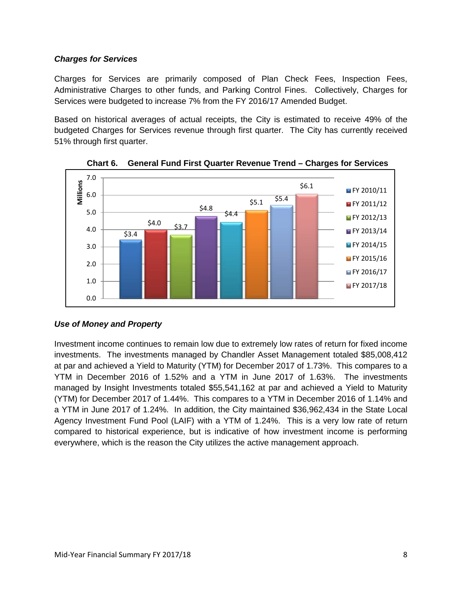# *Charges for Services*

Charges for Services are primarily composed of Plan Check Fees, Inspection Fees, Administrative Charges to other funds, and Parking Control Fines. Collectively, Charges for Services were budgeted to increase 7% from the FY 2016/17 Amended Budget.

Based on historical averages of actual receipts, the City is estimated to receive 49% of the budgeted Charges for Services revenue through first quarter. The City has currently received 51% through first quarter.



**Chart 6. General Fund First Quarter Revenue Trend – Charges for Services**

# *Use of Money and Property*

Investment income continues to remain low due to extremely low rates of return for fixed income investments. The investments managed by Chandler Asset Management totaled \$85,008,412 at par and achieved a Yield to Maturity (YTM) for December 2017 of 1.73%. This compares to a YTM in December 2016 of 1.52% and a YTM in June 2017 of 1.63%. The investments managed by Insight Investments totaled \$55,541,162 at par and achieved a Yield to Maturity (YTM) for December 2017 of 1.44%. This compares to a YTM in December 2016 of 1.14% and a YTM in June 2017 of 1.24%. In addition, the City maintained \$36,962,434 in the State Local Agency Investment Fund Pool (LAIF) with a YTM of 1.24%. This is a very low rate of return compared to historical experience, but is indicative of how investment income is performing everywhere, which is the reason the City utilizes the active management approach.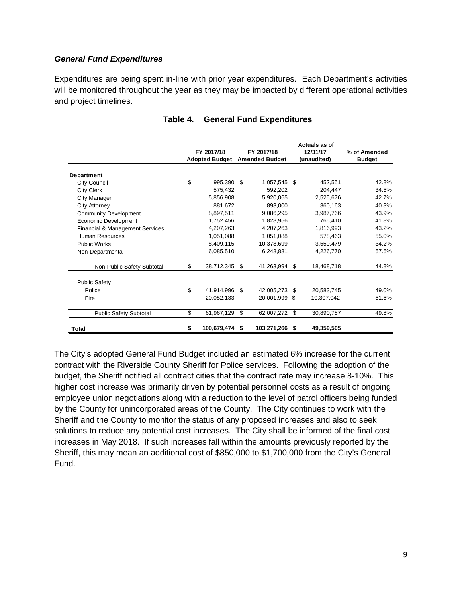#### *General Fund Expenditures*

Expenditures are being spent in-line with prior year expenditures. Each Department's activities will be monitored throughout the year as they may be impacted by different operational activities and project timelines.

|                                 |                       | FY 2017/18  |      | FY 2017/18            |     | Actuals as of<br>12/31/17 | % of Amended  |  |
|---------------------------------|-----------------------|-------------|------|-----------------------|-----|---------------------------|---------------|--|
|                                 | <b>Adopted Budget</b> |             |      | <b>Amended Budget</b> |     | (unaudited)               | <b>Budget</b> |  |
| Department                      |                       |             |      |                       |     |                           |               |  |
| City Council                    | \$                    | 995,390     | \$   | 1,057,545             | \$. | 452,551                   | 42.8%         |  |
| <b>City Clerk</b>               |                       | 575.432     |      | 592,202               |     | 204,447                   | 34.5%         |  |
| City Manager                    |                       | 5,856,908   |      | 5,920,065             |     | 2,525,676                 | 42.7%         |  |
| <b>City Attorney</b>            |                       | 881,672     |      | 893,000               |     | 360,163                   | 40.3%         |  |
| <b>Community Development</b>    |                       | 8.897.511   |      | 9,086,295             |     | 3,987,766                 | 43.9%         |  |
| Economic Development            |                       | 1,752,456   |      | 1,828,956             |     | 765,410                   | 41.8%         |  |
| Financial & Management Services |                       | 4.207.263   |      | 4.207.263             |     | 1,816,993                 | 43.2%         |  |
| <b>Human Resources</b>          |                       | 1,051,088   |      | 1,051,088             |     | 578,463                   | 55.0%         |  |
| <b>Public Works</b>             |                       | 8,409,115   |      | 10,378,699            |     | 3,550,479                 | 34.2%         |  |
| Non-Departmental                |                       | 6,085,510   |      | 6,248,881             |     | 4,226,770                 | 67.6%         |  |
| Non-Public Safety Subtotal      | \$                    | 38,712,345  | \$   | 41,263,994            | \$. | 18,468,718                | 44.8%         |  |
| <b>Public Safety</b>            |                       |             |      |                       |     |                           |               |  |
| Police                          | \$                    | 41,914,996  | -S   | 42,005,273            | \$  | 20,583,745                | 49.0%         |  |
| Fire                            |                       | 20,052,133  |      | 20,001,999            | -\$ | 10,307,042                | 51.5%         |  |
| <b>Public Safety Subtotal</b>   | \$                    | 61,967,129  | \$   | 62,007,272            | \$  | 30,890,787                | 49.8%         |  |
| Total                           | \$                    | 100,679,474 | - \$ | 103,271,266           | S   | 49,359,505                |               |  |

#### **Table 4. General Fund Expenditures**

The City's adopted General Fund Budget included an estimated 6% increase for the current contract with the Riverside County Sheriff for Police services. Following the adoption of the budget, the Sheriff notified all contract cities that the contract rate may increase 8-10%. This higher cost increase was primarily driven by potential personnel costs as a result of ongoing employee union negotiations along with a reduction to the level of patrol officers being funded by the County for unincorporated areas of the County. The City continues to work with the Sheriff and the County to monitor the status of any proposed increases and also to seek solutions to reduce any potential cost increases. The City shall be informed of the final cost increases in May 2018. If such increases fall within the amounts previously reported by the Sheriff, this may mean an additional cost of \$850,000 to \$1,700,000 from the City's General Fund.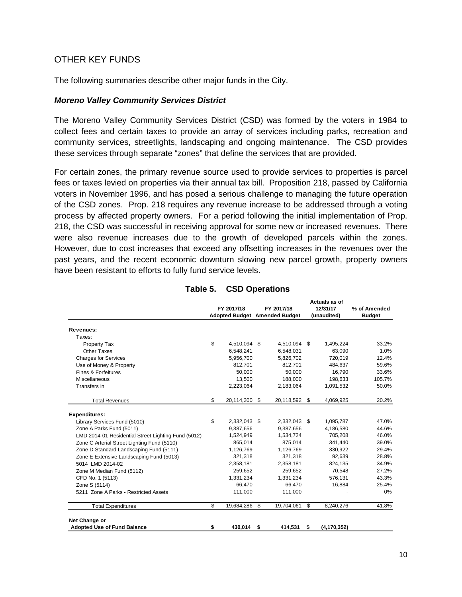# OTHER KEY FUNDS

The following summaries describe other major funds in the City.

#### *Moreno Valley Community Services District*

The Moreno Valley Community Services District (CSD) was formed by the voters in 1984 to collect fees and certain taxes to provide an array of services including parks, recreation and community services, streetlights, landscaping and ongoing maintenance. The CSD provides these services through separate "zones" that define the services that are provided.

For certain zones, the primary revenue source used to provide services to properties is parcel fees or taxes levied on properties via their annual tax bill. Proposition 218, passed by California voters in November 1996, and has posed a serious challenge to managing the future operation of the CSD zones. Prop. 218 requires any revenue increase to be addressed through a voting process by affected property owners. For a period following the initial implementation of Prop. 218, the CSD was successful in receiving approval for some new or increased revenues. There were also revenue increases due to the growth of developed parcels within the zones. However, due to cost increases that exceed any offsetting increases in the revenues over the past years, and the recent economic downturn slowing new parcel growth, property owners have been resistant to efforts to fully fund service levels.

|                                                     |                     |                               | Actuals as of       |               |
|-----------------------------------------------------|---------------------|-------------------------------|---------------------|---------------|
|                                                     | FY 2017/18          | FY 2017/18                    | 12/31/17            | % of Amended  |
|                                                     |                     | Adopted Budget Amended Budget | (unaudited)         | <b>Budget</b> |
| <b>Revenues:</b>                                    |                     |                               |                     |               |
| Taxes:                                              |                     |                               |                     |               |
| Property Tax                                        | \$<br>4,510,094 \$  | 4,510,094 \$                  | 1,495,224           | 33.2%         |
| Other Taxes                                         | 6,548,241           | 6,548,031                     | 63,090              | 1.0%          |
| <b>Charges for Services</b>                         | 5,956,700           | 5,826,702                     | 720,019             | 12.4%         |
| Use of Money & Property                             | 812,701             | 812,701                       | 484,637             | 59.6%         |
| Fines & Forfeitures                                 | 50,000              | 50,000                        | 16,790              | 33.6%         |
| Miscellaneous                                       | 13,500              | 188,000                       | 198,633             | 105.7%        |
| Transfers In                                        | 2,223,064           | 2,183,064                     | 1,091,532           | 50.0%         |
| <b>Total Revenues</b>                               | \$<br>20,114,300    | \$<br>20,118,592              | \$<br>4,069,925     | 20.2%         |
| <b>Expenditures:</b>                                |                     |                               |                     |               |
| Library Services Fund (5010)                        | \$<br>2,332,043 \$  | 2,332,043 \$                  | 1,095,787           | 47.0%         |
| Zone A Parks Fund (5011)                            | 9,387,656           | 9,387,656                     | 4,186,580           | 44.6%         |
| LMD 2014-01 Residential Street Lighting Fund (5012) | 1,524,949           | 1,534,724                     | 705.208             | 46.0%         |
| Zone C Arterial Street Lighting Fund (5110)         | 865,014             | 875,014                       | 341,440             | 39.0%         |
| Zone D Standard Landscaping Fund (5111)             | 1,126,769           | 1,126,769                     | 330,922             | 29.4%         |
| Zone E Extensive Landscaping Fund (5013)            | 321,318             | 321,318                       | 92,639              | 28.8%         |
| 5014 LMD 2014-02                                    | 2,358,181           | 2,358,181                     | 824,135             | 34.9%         |
| Zone M Median Fund (5112)                           | 259,652             | 259,652                       | 70.548              | 27.2%         |
| CFD No. 1 (5113)                                    | 1,331,234           | 1,331,234                     | 576,131             | 43.3%         |
| Zone S (5114)                                       | 66,470              | 66,470                        | 16,884              | 25.4%         |
| 5211 Zone A Parks - Restricted Assets               | 111,000             | 111,000                       |                     | $0\%$         |
| <b>Total Expenditures</b>                           | \$<br>19,684,286 \$ | 19,704,061                    | \$<br>8,240,276     | 41.8%         |
| Net Change or                                       |                     |                               |                     |               |
| <b>Adopted Use of Fund Balance</b>                  | \$<br>430,014       | \$<br>414,531                 | \$<br>(4, 170, 352) |               |

# **Table 5. CSD Operations**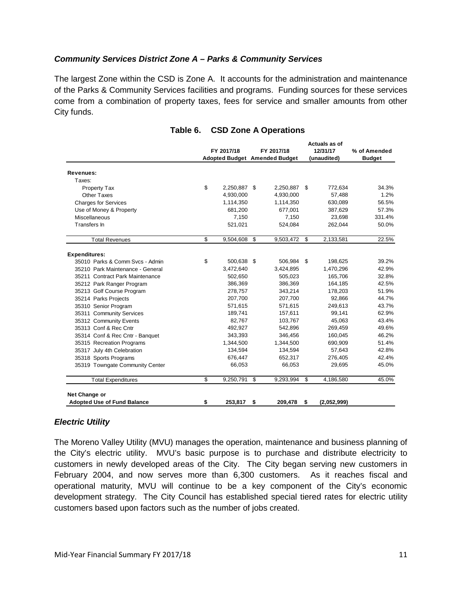#### *Community Services District Zone A – Parks & Community Services*

The largest Zone within the CSD is Zone A. It accounts for the administration and maintenance of the Parks & Community Services facilities and programs. Funding sources for these services come from a combination of property taxes, fees for service and smaller amounts from other City funds.

|                                    | FY 2017/18         | FY 2017/18<br><b>Adopted Budget Amended Budget</b> |     | Actuals as of<br>12/31/17<br>(unaudited) | % of Amended<br><b>Budget</b> |
|------------------------------------|--------------------|----------------------------------------------------|-----|------------------------------------------|-------------------------------|
|                                    |                    |                                                    |     |                                          |                               |
| Revenues:                          |                    |                                                    |     |                                          |                               |
| Taxes:                             |                    |                                                    |     |                                          |                               |
| Property Tax                       | \$<br>2,250,887 \$ | 2,250,887                                          | \$. | 772,634                                  | 34.3%                         |
| <b>Other Taxes</b>                 | 4,930,000          | 4,930,000                                          |     | 57,488                                   | 1.2%                          |
| <b>Charges for Services</b>        | 1,114,350          | 1,114,350                                          |     | 630,089                                  | 56.5%                         |
| Use of Money & Property            | 681,200            | 677,001                                            |     | 387,629                                  | 57.3%                         |
| Miscellaneous                      | 7,150              | 7,150                                              |     | 23,698                                   | 331.4%                        |
| Transfers In                       | 521,021            | 524,084                                            |     | 262,044                                  | 50.0%                         |
| <b>Total Revenues</b>              | \$<br>9,504,608 \$ | 9,503,472 \$                                       |     | 2,133,581                                | 22.5%                         |
|                                    |                    |                                                    |     |                                          |                               |
| <b>Expenditures:</b>               |                    |                                                    |     |                                          |                               |
| 35010 Parks & Comm Svcs - Admin    | \$<br>500,638 \$   | 506,984 \$                                         |     | 198,625                                  | 39.2%                         |
| 35210 Park Maintenance - General   | 3,472,640          | 3,424,895                                          |     | 1,470,296                                | 42.9%                         |
| 35211 Contract Park Maintenance    | 502,650            | 505,023                                            |     | 165,706                                  | 32.8%                         |
| 35212 Park Ranger Program          | 386,369            | 386,369                                            |     | 164,185                                  | 42.5%                         |
| 35213 Golf Course Program          | 278,757            | 343,214                                            |     | 178,203                                  | 51.9%                         |
| 35214 Parks Projects               | 207,700            | 207,700                                            |     | 92,866                                   | 44.7%                         |
| 35310 Senior Program               | 571,615            | 571,615                                            |     | 249,613                                  | 43.7%                         |
| 35311 Community Services           | 189,741            | 157,611                                            |     | 99,141                                   | 62.9%                         |
| 35312 Community Events             | 82.767             | 103,767                                            |     | 45,063                                   | 43.4%                         |
| 35313 Conf & Rec Cntr              | 492,927            | 542,896                                            |     | 269,459                                  | 49.6%                         |
| 35314 Conf & Rec Cntr - Banquet    | 343,393            | 346,456                                            |     | 160,045                                  | 46.2%                         |
| 35315 Recreation Programs          | 1,344,500          | 1,344,500                                          |     | 690,909                                  | 51.4%                         |
| 35317 July 4th Celebration         | 134,594            | 134,594                                            |     | 57,643                                   | 42.8%                         |
| 35318 Sports Programs              | 676,447            | 652,317                                            |     | 276,405                                  | 42.4%                         |
| 35319 Towngate Community Center    | 66,053             | 66,053                                             |     | 29,695                                   | 45.0%                         |
| <b>Total Expenditures</b>          | \$<br>9,250,791    | \$<br>9,293,994                                    | \$  | 4,186,580                                | 45.0%                         |
| Net Change or                      |                    |                                                    |     |                                          |                               |
| <b>Adopted Use of Fund Balance</b> | \$<br>253,817      | \$<br>209,478                                      | \$  | (2,052,999)                              |                               |

#### **Table 6. CSD Zone A Operations**

#### *Electric Utility*

The Moreno Valley Utility (MVU) manages the operation, maintenance and business planning of the City's electric utility. MVU's basic purpose is to purchase and distribute electricity to customers in newly developed areas of the City. The City began serving new customers in February 2004, and now serves more than 6,300 customers. As it reaches fiscal and operational maturity, MVU will continue to be a key component of the City's economic development strategy. The City Council has established special tiered rates for electric utility customers based upon factors such as the number of jobs created.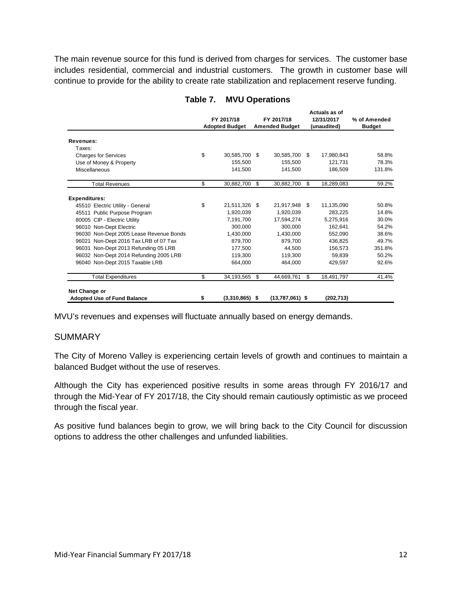The main revenue source for this fund is derived from charges for services. The customer base includes residential, commercial and industrial customers. The growth in customer base will continue to provide for the ability to create rate stabilization and replacement reserve funding.

|                                                     | FY 2017/18<br><b>Adopted Budget</b> |                | FY 2017/18<br><b>Amended Budget</b> |     | Actuals as of<br>12/31/2017<br>(unaudited) | % of Amended<br><b>Budget</b> |
|-----------------------------------------------------|-------------------------------------|----------------|-------------------------------------|-----|--------------------------------------------|-------------------------------|
|                                                     |                                     |                |                                     |     |                                            |                               |
| Revenues:                                           |                                     |                |                                     |     |                                            |                               |
| Taxes:                                              |                                     |                |                                     |     |                                            |                               |
| <b>Charges for Services</b>                         | \$<br>30,585,700                    | - \$           | 30,585,700                          | \$  | 17,980,843                                 | 58.8%                         |
| Use of Money & Property                             | 155.500                             |                | 155.500                             |     | 121.731                                    | 78.3%                         |
| <b>Miscellaneous</b>                                | 141,500                             |                | 141,500                             |     | 186,509                                    | 131.8%                        |
| <b>Total Revenues</b>                               | \$<br>30,882,700                    | \$.            | 30,882,700                          | \$  | 18,289,083                                 | 59.2%                         |
| <b>Expenditures:</b>                                |                                     |                |                                     |     |                                            |                               |
| 45510 Electric Utility - General                    | \$<br>21,511,326 \$                 |                | 21,917,948                          | \$. | 11,135,090                                 | 50.8%                         |
| 45511 Public Purpose Program                        | 1,920,039                           |                | 1,920,039                           |     | 283,225                                    | 14.8%                         |
| 80005 CIP - Electric Utility                        | 7,191,700                           |                | 17,594,274                          |     | 5,275,916                                  | 30.0%                         |
| 96010 Non-Dept Electric                             | 300,000                             |                | 300.000                             |     | 162,641                                    | 54.2%                         |
| 96030 Non-Dept 2005 Lease Revenue Bonds             | 1,430,000                           |                | 1,430,000                           |     | 552,090                                    | 38.6%                         |
| 96021 Non-Dept 2016 Tax LRB of 07 Tax               | 879.700                             |                | 879.700                             |     | 436.825                                    | 49.7%                         |
| 96031 Non-Dept 2013 Refunding 05 LRB                | 177,500                             |                | 44.500                              |     | 156,573                                    | 351.8%                        |
| 96032 Non-Dept 2014 Refunding 2005 LRB              | 119,300                             |                | 119,300                             |     | 59,839                                     | 50.2%                         |
| 96040 Non-Dept 2015 Taxable LRB                     | 664.000                             |                | 464.000                             |     | 429.597                                    | 92.6%                         |
| <b>Total Expenditures</b>                           | \$<br>34,193,565                    | $\mathfrak{L}$ | 44,669,761                          | \$  | 18,491,797                                 | 41.4%                         |
| Net Change or<br><b>Adopted Use of Fund Balance</b> | \$<br>$(3,310,865)$ \$              |                | $(13,787,061)$ \$                   |     | (202, 713)                                 |                               |

# **Table 7. MVU Operations**

MVU's revenues and expenses will fluctuate annually based on energy demands.

#### SUMMARY

The City of Moreno Valley is experiencing certain levels of growth and continues to maintain a balanced Budget without the use of reserves.

Although the City has experienced positive results in some areas through FY 2016/17 and through the Mid-Year of FY 2017/18, the City should remain cautiously optimistic as we proceed through the fiscal year.

As positive fund balances begin to grow, we will bring back to the City Council for discussion options to address the other challenges and unfunded liabilities.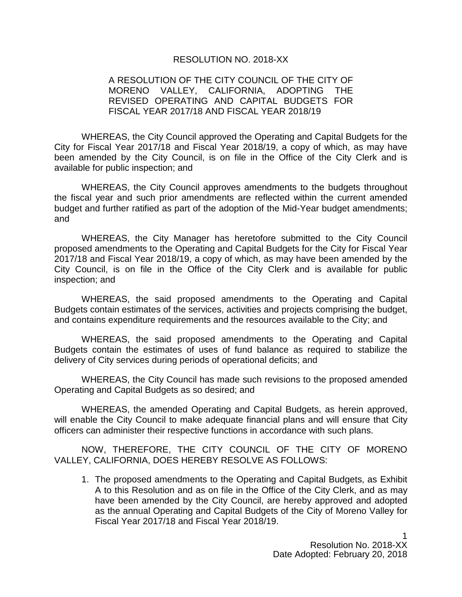#### RESOLUTION NO. 2018-XX

# A RESOLUTION OF THE CITY COUNCIL OF THE CITY OF MORENO VALLEY, CALIFORNIA, ADOPTING THE REVISED OPERATING AND CAPITAL BUDGETS FOR FISCAL YEAR 2017/18 AND FISCAL YEAR 2018/19

WHEREAS, the City Council approved the Operating and Capital Budgets for the City for Fiscal Year 2017/18 and Fiscal Year 2018/19, a copy of which, as may have been amended by the City Council, is on file in the Office of the City Clerk and is available for public inspection; and

WHEREAS, the City Council approves amendments to the budgets throughout the fiscal year and such prior amendments are reflected within the current amended budget and further ratified as part of the adoption of the Mid-Year budget amendments; and

WHEREAS, the City Manager has heretofore submitted to the City Council proposed amendments to the Operating and Capital Budgets for the City for Fiscal Year 2017/18 and Fiscal Year 2018/19, a copy of which, as may have been amended by the City Council, is on file in the Office of the City Clerk and is available for public inspection; and

WHEREAS, the said proposed amendments to the Operating and Capital Budgets contain estimates of the services, activities and projects comprising the budget, and contains expenditure requirements and the resources available to the City; and

WHEREAS, the said proposed amendments to the Operating and Capital Budgets contain the estimates of uses of fund balance as required to stabilize the delivery of City services during periods of operational deficits; and

WHEREAS, the City Council has made such revisions to the proposed amended Operating and Capital Budgets as so desired; and

WHEREAS, the amended Operating and Capital Budgets, as herein approved, will enable the City Council to make adequate financial plans and will ensure that City officers can administer their respective functions in accordance with such plans.

NOW, THEREFORE, THE CITY COUNCIL OF THE CITY OF MORENO VALLEY, CALIFORNIA, DOES HEREBY RESOLVE AS FOLLOWS:

1. The proposed amendments to the Operating and Capital Budgets, as Exhibit A to this Resolution and as on file in the Office of the City Clerk, and as may have been amended by the City Council, are hereby approved and adopted as the annual Operating and Capital Budgets of the City of Moreno Valley for Fiscal Year 2017/18 and Fiscal Year 2018/19.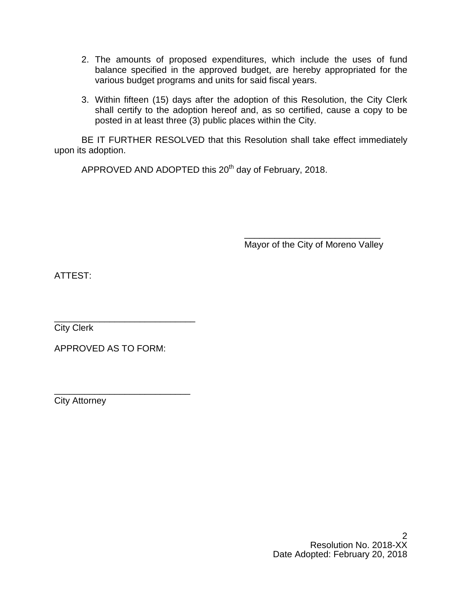- 2. The amounts of proposed expenditures, which include the uses of fund balance specified in the approved budget, are hereby appropriated for the various budget programs and units for said fiscal years.
- 3. Within fifteen (15) days after the adoption of this Resolution, the City Clerk shall certify to the adoption hereof and, as so certified, cause a copy to be posted in at least three (3) public places within the City.

BE IT FURTHER RESOLVED that this Resolution shall take effect immediately upon its adoption.

APPROVED AND ADOPTED this 20<sup>th</sup> day of February, 2018.

\_\_\_\_\_\_\_\_\_\_\_\_\_\_\_\_\_\_\_\_\_\_\_\_\_\_\_ Mayor of the City of Moreno Valley

ATTEST:

\_\_\_\_\_\_\_\_\_\_\_\_\_\_\_\_\_\_\_\_\_\_\_\_\_\_\_\_ City Clerk

APPROVED AS TO FORM:

\_\_\_\_\_\_\_\_\_\_\_\_\_\_\_\_\_\_\_\_\_\_\_\_\_\_\_ City Attorney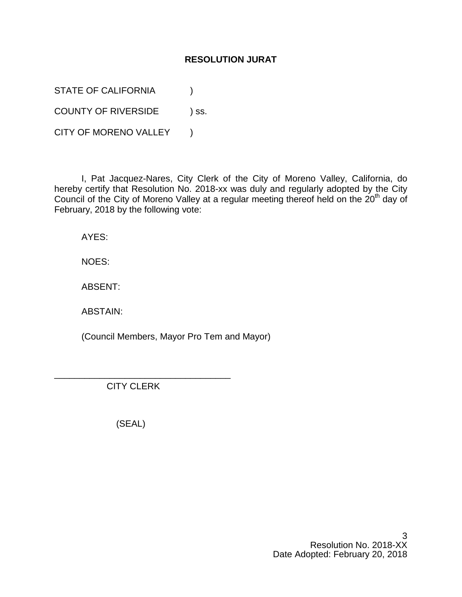# **RESOLUTION JURAT**

STATE OF CALIFORNIA (1)

COUNTY OF RIVERSIDE ) ss.

CITY OF MORENO VALLEY )

I, Pat Jacquez-Nares, City Clerk of the City of Moreno Valley, California, do hereby certify that Resolution No. 2018-xx was duly and regularly adopted by the City Council of the City of Moreno Valley at a regular meeting thereof held on the 20<sup>th</sup> day of February, 2018 by the following vote:

AYES:

NOES:

ABSENT:

ABSTAIN:

(Council Members, Mayor Pro Tem and Mayor)

CITY CLERK

\_\_\_\_\_\_\_\_\_\_\_\_\_\_\_\_\_\_\_\_\_\_\_\_\_\_\_\_\_\_\_\_\_\_\_

(SEAL)

3 Resolution No. 2018-XX Date Adopted: February 20, 2018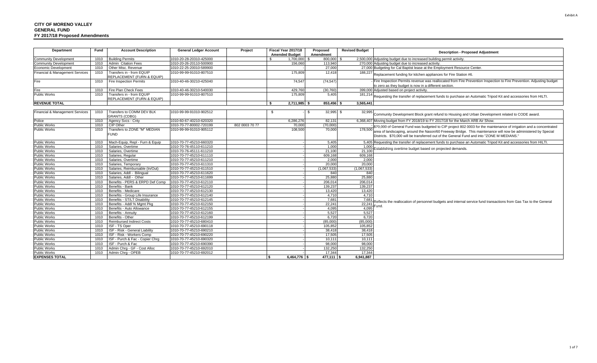| Department                      | Fund | <b>Account Description</b>                              | <b>General Ledger Account</b> | Project        | Fiscal Year 2017/18   | Proposed           | <b>Revised Budget</b> | <b>Description - Proposed Adjustment</b>                                                                                                                                                                    |
|---------------------------------|------|---------------------------------------------------------|-------------------------------|----------------|-----------------------|--------------------|-----------------------|-------------------------------------------------------------------------------------------------------------------------------------------------------------------------------------------------------------|
|                                 |      |                                                         |                               |                | <b>Amended Budget</b> | Amendment          |                       |                                                                                                                                                                                                             |
| <b>Community Development</b>    | 1010 | <b>Building Permits</b>                                 | 1010-20-28-20310-425000       |                | 1,700,000             | 800,000 \$<br>- \$ |                       | 2,500,000 Adjusting budget due to increased building permit activity.                                                                                                                                       |
| <b>Community Development</b>    | 1010 | <b>Admin Citation Fees</b>                              | 1010-20-26-20110-500900       |                | 156,060               | 113,940            |                       | 270,000 Adjusting budget due to increased activity                                                                                                                                                          |
| Economic Development            | 1010 | Other Misc. Revenue                                     | 1010-22-25-20010-589900       |                |                       | 27,000             |                       | 27,000 Budgeting for Cal Baptist lease at the Employment Resource Center.                                                                                                                                   |
| Financial & Management Services | 1010 | Transfers in - from EQUIP<br>REPLACEMENT (FURN & EQUIP) | 1010-99-99-91010-807510       |                | 175,809               | 12,418             |                       | $\overline{188,227}$ Replacement funding for kitchen appliances for Fire Station #6.                                                                                                                        |
| Fire                            | 1010 | Fire Inspection Permits                                 | 1010-40-46-30210-425040       |                | 74,547                | (74, 547)          |                       | Fire Inspection Permits revenue was reallocated from Fire Prevention Inspection to Fire Prevention. Adjusting budget<br>to zero as they budget is now in a different section.                               |
| Fire                            | 1010 | Fire Plan Check Fees                                    | 1010-40-46-30210-540030       |                | 429,760               | (30, 760)          |                       | 399,000 Adjusted based on project activity.                                                                                                                                                                 |
| <b>Public Works</b>             | 1010 | Transfers in - from EQUIP                               | 1010-99-99-91010-807510       |                | 175,809               | 5,405              |                       | 181,214 Requesting the transfer of replacement funds to purchase an Automatic Tripod Kit and accessories from HILTI.                                                                                        |
|                                 |      | REPLACEMENT (FURN & EQUIP)                              |                               |                |                       |                    |                       |                                                                                                                                                                                                             |
| <b>REVENUE TOTAL</b>            |      |                                                         |                               |                | $2.711.985$ \$        | 853,456 \$         | 3,565,441             |                                                                                                                                                                                                             |
|                                 |      |                                                         |                               |                |                       |                    |                       |                                                                                                                                                                                                             |
| Financial & Management Services | 1010 | Transfers to COMM DEV BLK<br><b>GRANTS (CDBG)</b>       | 1010-99-99-91010-902512       |                | -S                    | $32,995$ \$        | 32,995                | Community Development Block grant refund to Housing and Urban Development related to CODE award.                                                                                                            |
| Police                          | 1010 | Agency Svcs - Cnty                                      | 1010-60-67-40210-620320       |                | 6,286,276             | 82,131             |                       | 6,368,407 Moving budget from FY 2018/19 to FY 2017/18 for the March ARB Air Show.                                                                                                                           |
| Public Works                    | 1010 | CIP Other                                               | 1010-70-77-80002-720199       | 802 0003 70 77 | 70,000                | (70.000)           |                       | \$70,000 of General Fund was budgeted to CIP project 802 0003 for the maintenance of irrigation and a concentrated                                                                                          |
| <b>Public Works</b>             | 1010 | Transfers to ZONE "M" MEDIAN<br><b>FUND</b>             | 1010-99-99-91010-905112       |                | 108,500               | 70,000             | 178,500               | area of landscaping, around the Nason/60 Freeway Bridge. This maintenance will now be administered by Special<br>Districts. \$70,000 will be transferred out of the General Fund and into "ZONE M MEDIANS." |
| Public Works                    | 1010 | Mach-Equip, Repl - Furn & Equip                         | 1010-70-77-45210-660320       |                |                       | 5,405              |                       | 5,405 Requesting the transfer of replacement funds to purchase an Automatic Tripod Kit and accessories from HILTI.                                                                                          |
| <b>Public Works</b>             | 1010 | Salaries, Overtime                                      | 1010-70-76-45110-611210       |                |                       | 1.000              | 1.000                 |                                                                                                                                                                                                             |
| <b>Public Works</b>             | 1010 | Salaries, Overtime                                      | 1010-70-76-45111-611210       |                |                       | 21.100             | 21.100                | Establishing overtime budget based on projected demands.                                                                                                                                                    |
| <b>Public Works</b>             | 1010 | Salaries, Regular                                       | 1010-70-77-45210-611110       |                |                       | 609.168            | 609,168               |                                                                                                                                                                                                             |
| <b>Public Works</b>             | 1010 | Salaries, Overtime                                      | 1010-70-77-45210-611210       |                |                       | 2.000              | 2.000                 |                                                                                                                                                                                                             |
| <b>Public Works</b>             | 1010 | Salaries, Temporary                                     | 1010-70-77-45210-611310       |                |                       | 20,000             | 20,000                |                                                                                                                                                                                                             |
| Public Works                    | 1010 | Salaries, Reimbursable (In/Out)                         | 1010-70-77-45210-611510       |                |                       | (1.067.533)        | (1,067,533)           |                                                                                                                                                                                                             |
| <b>Public Works</b>             | 1010 | Salaries, Addl - Bilingual                              | 1010-70-77-45210-611620       |                |                       | 840                | 840                   |                                                                                                                                                                                                             |
| Public Works                    | 1010 | Salaries, Addl - Other                                  | 1010-70-77-45210-611699       |                |                       | 25.880             | 25,880                |                                                                                                                                                                                                             |
| Public Works                    | 1010 | Benefits - PERS & ERPD Def Comp                         | 1010-70-77-45210-612110       |                |                       | 206,014            | 206,014               |                                                                                                                                                                                                             |
| <b>Public Works</b>             | 1010 | Benefits - Bank                                         | 1010-70-77-45210-612120       |                |                       | 139,237            | 139,237               |                                                                                                                                                                                                             |
| <b>Public Works</b>             | 1010 | Benefits - Medicare                                     | 1010-70-77-45210-612130       |                |                       | 13.420             | 13,420                |                                                                                                                                                                                                             |
| <b>Public Works</b>             | 1010 | Benefits - Group Life Insurance                         | 1010-70-77-45210-612140       |                |                       | 4.710              | 4.710                 |                                                                                                                                                                                                             |
| <b>Public Works</b>             | 1010 | Benefits - ST/LT Disability                             | 1010-70-77-45210-612145       |                |                       | 7,681              | 7,681                 |                                                                                                                                                                                                             |
| <b>Public Works</b>             | 1010 | Benefits - Addl % Mamt Pka                              | 1010-70-77-45210-612150       |                |                       | 22.241             | 22.241                | Reflects the reallocation of personnel budgets and internal service fund transactions from Gas Tax to the General                                                                                           |
| <b>Public Works</b>             | 1010 | Benefits - Auto Allowance                               | 1010-70-77-45210-612155       |                |                       | 4.095              | 4.095                 | Fund.                                                                                                                                                                                                       |
| <b>Public Works</b>             | 1010 | Benefits - Annuitv                                      | 1010-70-77-45210-612160       |                |                       | 5.527              | 5,527                 |                                                                                                                                                                                                             |
| Public Works                    | 1010 | Benefits - Other                                        | 1010-70-77-45210-612199       |                |                       | 6.720              | 6.720                 |                                                                                                                                                                                                             |
| Public Works                    | 1010 | <b>Reimbursed Indirect Costs</b>                        | 1010-70-77-45210-680410       |                |                       | (85,000)           | (85,000)              |                                                                                                                                                                                                             |
| <b>Public Works</b>             | 1010 | ISF - TS Oper                                           | 1010-70-77-45210-690118       |                |                       | 105.852            | 105.852               |                                                                                                                                                                                                             |
| <b>Public Works</b>             | 1010 | ISF - Risk - General Liability                          | 1010-70-77-45210-690210       |                |                       | 38,418             | 38,418                |                                                                                                                                                                                                             |
| <b>Public Works</b>             | 1010 | ISF - Risk - Workers Comp                               | 1010-70-77-45210-690220       |                |                       | 17,505             | 17,505                |                                                                                                                                                                                                             |
| <b>Public Works</b>             | 1010 | ISF - Purch & Fac - Copier Chrq                         | 1010-70-77-45210-690320       |                |                       | 10,111             | 10,111                |                                                                                                                                                                                                             |
| <b>Public Works</b>             | 1010 | ISF - Purch & Fac                                       | 1010-70-77-45210-690390       |                |                       | 98,000             | 98.000                |                                                                                                                                                                                                             |
| Public Works                    | 1010 | Admin Chrg - GF - Cost Alloc                            | 1010-70-77-45210-692010       |                |                       | 132.250            | 132,250               |                                                                                                                                                                                                             |
| <b>Public Works</b>             | 1010 | Admin Chra - OPEB                                       | 1010-70-77-45210-692012       |                |                       | 17.344             | 17.344                |                                                                                                                                                                                                             |
| <b>EXPENSES TOTAL</b>           |      |                                                         |                               |                | $6.464.776$ \\$       | $477.111$ S        | 6.941.887             |                                                                                                                                                                                                             |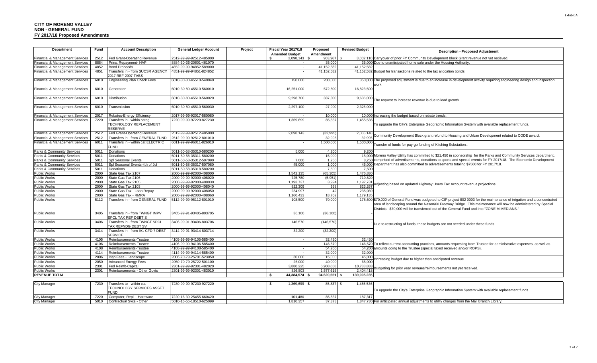| Department                                 | Fund         | <b>Account Description</b>                                       | <b>General Ledger Account</b>                      | Project | Fiscal Year 2017/18<br><b>Amended Budget</b> |              | Proposed<br>Amendment | <b>Revised Budget</b> | <b>Description - Proposed Adjustment</b>                                                                                                                                                                   |
|--------------------------------------------|--------------|------------------------------------------------------------------|----------------------------------------------------|---------|----------------------------------------------|--------------|-----------------------|-----------------------|------------------------------------------------------------------------------------------------------------------------------------------------------------------------------------------------------------|
| Financial & Management Services            | 2512         | Fed Grant-Operating Revenue                                      | 2512-99-99-92512-485000                            |         | 2,098,143                                    |              | 903,967 \$            |                       | 3,002,110 Carryover of prior FY Community Development Block Grant revenue not yet recieved.                                                                                                                |
| <b>Financial &amp; Management Services</b> | 8884         | Princ. Repayment- HAP                                            | 8884-30-36-20601-461070                            |         |                                              |              | 35,000                |                       | 35,000 Due to unanticipated home sale under the Housing Authority                                                                                                                                          |
| Financial & Management Services            | 4852         | <b>Bond Proceeds</b>                                             | 4852-99-99-94852-589000                            |         |                                              |              | 41,152,582            | 41,152,582            |                                                                                                                                                                                                            |
| Financial & Management Services            | 4851         | Transfers in - from SUCSR AGENCY<br>2017 REF 2007 TABS           | 4851-99-99-94851-824852                            |         |                                              |              | 41,152,582            |                       | 41,152,582 Budget for transactions related to the tax allocation bonds.                                                                                                                                    |
| Financial & Management Services            | 6010         | Engineering Plan Check Fees                                      | 6010-30-80-45510-540040                            |         |                                              | 150,000      | 200,000               |                       | 350,000 The proposed adjustment is due to an increase in development activity requiring engineering design and inspection<br>/ork.                                                                         |
| Financial & Management Services            | 6010         | Generation                                                       | 6010-30-80-45510-560010                            |         | 16,251,000                                   |              | 572,500               | 16,823,500            |                                                                                                                                                                                                            |
| Financial & Management Services            | 6010         | Distribution                                                     | 6010-30-80-45510-560020                            |         | 9,298,700                                    |              | 337,300               | 9,636,000             | The request to increase revenue is due to load growth                                                                                                                                                      |
| Financial & Management Services            | 6010         | Transmission                                                     | 6010-30-80-45510-560030                            |         | 2,297,100                                    |              | 27,900                | 2,325,000             |                                                                                                                                                                                                            |
| Financial & Management Services            | 2017         | Rebates-Energy Efficiency                                        | 2017-99-99-92017-580080                            |         |                                              |              | 10,000                |                       | 10,000 Increasing the budget based on rebate trends.                                                                                                                                                       |
| Financial & Management Services            | 7220         | Transfers in - within categ<br>TECHNOLOGY REPLACEMENT<br>RESERVE | 7220-99-99-97220-827230                            |         | 1,369,699                                    |              | 85,837                | 1,455,536             | To upgrade the City's Enterprise Geographic Information System with available replacement funds.                                                                                                           |
| Financial & Management Services            | 2512         | Fed Grant-Operating Revenue                                      | 2512-99-99-92512-485000                            |         | 2,098,143                                    |              | (32, 995)             | 2,065,148             |                                                                                                                                                                                                            |
| Financial & Management Services            | 2512         | <b>Transfers in - from GENERAL FUND</b>                          | 2512-99-99-92512-801010                            |         |                                              |              | 32,995                | 32,995                | fommunity Development Block grant refund to Housing and Urban Development related to CODE award.                                                                                                           |
| Financial & Management Services            | 6011         | Transfers in - within cat ELECTRIC<br>UND <sup>-</sup>           | 6011-99-99-96011-826010                            |         |                                              |              | 1,500,000             | 1,500,000             | Transfer of funds for pay-go funding of Kitching Substation.                                                                                                                                               |
| Parks & Community Services                 | 5011         | Donations                                                        | 5011-50-58-35310-580200                            |         |                                              | 5,000        | 4,200                 | 9,200                 |                                                                                                                                                                                                            |
| Parks & Community Services                 | 5011         | Donations                                                        | 5011-50-58-35311-580200                            |         |                                              |              | 15,000                |                       | 15,000 Moreno Valley Utility has committed to \$21,450 in sponsorship for the Parks and Community Services department,                                                                                     |
| Parks & Community Services                 | 5011         | Spl Seasonal Events                                              | 5011-50-58-35312-507090                            |         |                                              | 7.000        | 1.250                 |                       | 8.250 comprised of advertisements, donations to sports and special events for FY 2017/18. The Economic Development                                                                                         |
| Parks & Community Services                 | 5011         | Spl Seasonal Events-4th of Jul                                   | 5011-50-58-35317-507080                            |         |                                              | 45,000       | 1,000                 |                       | 46,000 Department has also committed to advertisements totaling \$7500 for FY 2017/18.                                                                                                                     |
| Parks & Community Services                 | 5011         | Donations                                                        | 5011-50-58-35318-580200                            |         |                                              |              | 7,500                 | 7.500                 |                                                                                                                                                                                                            |
| Public Works                               | 2000         | State Gas Tax 2107                                               | 2000-99-99-92000-408000                            |         | 1,542,13                                     |              | (65, 305)             | 1,476,830             |                                                                                                                                                                                                            |
| <b>Public Works</b>                        | 2000         | State Gas Tax 2106                                               | 2000-99-99-92000-408020                            |         | 725,780                                      |              | (5,951)               | 719,829               |                                                                                                                                                                                                            |
| <b>Public Works</b>                        | 2000         | State Gas Tax 2105                                               | 2000-99-99-92000-408030                            |         | 1,193,73                                     |              | 3,994                 | 1,197,731             | Adjusting based on updated Highway Users Tax Account revenue projections.                                                                                                                                  |
| <b>Public Works</b>                        | 2000         | State Gas Tax 2103                                               | 2000-99-99-92000-408040                            |         | 822,309                                      |              | 958                   | 823,267               |                                                                                                                                                                                                            |
| <b>Public Works</b>                        | 2000         | State Gas Tax - Loan Repay                                       | 2000-99-99-92000-408050                            |         | 234,997                                      |              | 42                    | 235,039               |                                                                                                                                                                                                            |
| <b>Public Works</b>                        | 2000<br>5112 | State Gas Tax - RMRA<br>Transfers in - from GENERAL FUND         | 2000-99-99-92000-408060<br>5112-99-99-95112-801010 |         | 1,160,433                                    | 108,500      | 18.702<br>70,000      | 1.179.135             | 178,500 \$70,000 of General Fund was budgeted to CIP project 802 0003 for the maintenance of irrigation and a concentrated                                                                                 |
| <b>Public Works</b>                        |              |                                                                  |                                                    |         |                                              |              |                       |                       | area of landscaping around the Nason/60 Freeway Bridge. This maintenance will now be administered by Special<br>Districts. \$70,000 will be transferred out of the General Fund and into "ZONE M MEDIANS." |
| <b>Public Works</b>                        | 3405         | Transfers in - from TWNGT IMPV<br>SPCL TAX REF DEBT S            | 3405-99-91-93405-803705                            |         |                                              | 36,100       | (36, 100)             |                       |                                                                                                                                                                                                            |
| <b>Public Works</b>                        | 3406         | Transfers in - from TWNGT SPCL<br>TAX REFNDG DEBT SV             | 3406-99-91-93406-803706                            |         |                                              | 146,570      | (146, 570)            |                       | Due to restructing of funds, these budgets are not needed under these funds.                                                                                                                               |
| <b>Public Works</b>                        | 3414         | Transfers in - from IA1 CFD 7 DEBT<br><b>SERVICE</b>             | 3414-99-91-93414-803714                            |         |                                              | 32,200       | (32, 200)             |                       |                                                                                                                                                                                                            |
| <b>Public Works</b>                        | 4105         | Reimbursements-Trustee                                           | 4105-99-99-94105-585400                            |         |                                              |              | 32,430                | 32,430                |                                                                                                                                                                                                            |
| Public Works                               | 4106         | Reimbursements-Trustee                                           | 4106-99-99-94106-585400                            |         |                                              |              | 146,570               |                       | 146,570 To reflect current accounting practices, amounts requesting from Trustee for administrative expenses, as well as                                                                                   |
| <b>Public Works</b>                        | 4108         | Reimbursements-Trustee                                           | 4108-99-99-94108-585400                            |         |                                              |              | 54,200                |                       | 54,200 amounts going to the Trustee (special taxed received and/or ROPS).                                                                                                                                  |
| <b>Public Works</b>                        | 4114         | Reimbursements-Trustee                                           | 4114-99-99-94114-585400                            |         |                                              |              | 32,000                | 32.000                |                                                                                                                                                                                                            |
| <b>Public Works</b>                        | 2006         | Insp Fees - Landscape                                            | 2006-70-79-25701-523050                            |         |                                              | 30,000       | 15,000                | 45.000                | ncreasing budget due to higher than anticipated revenue                                                                                                                                                    |
| <b>Public Works</b>                        | 2050         | <b>Advanced Energy Fees</b>                                      | 2050-70-79-25722-501100                            |         |                                              | 25,000       | 40,000                | 65.000                |                                                                                                                                                                                                            |
| <b>Public Works</b>                        | 2301         | Fed Reimb-Capital                                                | 2301-99-99-92301-482020                            |         | 3,880,225                                    |              | 6,908,658             | 10,788,883            | Budgeting for prior year revnues/reimbursements not yet received.                                                                                                                                          |
| <b>Public Works</b>                        | 2301         | Reimbursements - Other Govts                                     | 2301-99-99-92301-483010                            |         | 826,803                                      |              | 1,577,615             | 2,404,418             |                                                                                                                                                                                                            |
| <b>REVENUE TOTAL</b>                       |              |                                                                  |                                                    |         | 44.384.574                                   |              | 94.620.661            | 139.005.235           |                                                                                                                                                                                                            |
| <b>City Manager</b>                        | 7230         | Transfers to - within cat                                        | 7230-99-99-97230-927220                            |         | - \$                                         | 1,369,699 \$ | 85,837 \$             | 1,455,536             |                                                                                                                                                                                                            |
|                                            |              | TECHNOLOGY SERVICES ASSET                                        |                                                    |         |                                              |              |                       |                       |                                                                                                                                                                                                            |
|                                            |              | <b>FUND</b>                                                      |                                                    |         |                                              |              |                       |                       | To upgrade the City's Enterprise Geographic Information System with available replacement funds.                                                                                                           |
| <b>City Manager</b>                        | 7220         | Computer, Repl - Hardware                                        | 7220-16-39-25455-660420                            |         |                                              | 101.480      | 85.837                | 187.317               |                                                                                                                                                                                                            |
| <b>City Manager</b>                        | 5010         | Contractual Svcs - Other                                         | 5010-16-56-18510-625099                            |         | 1.810.357                                    |              | 37,373                |                       | 1,847,730 For anticipated annual adjustments to utility charges from the Mall Branch Library.                                                                                                              |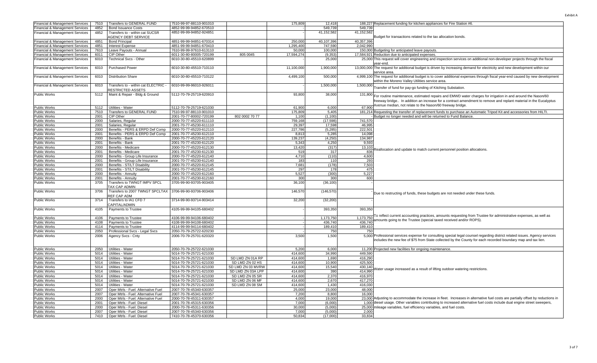| Financial & Management Services            | 7510 | Transfers to GENERAL FUND                               | 7510-99-97-88110-901010 |                   | 175,809    | 12,418     |            | 188,227 Replacement funding for kitchen appliances for Fire Station #6                                                           |
|--------------------------------------------|------|---------------------------------------------------------|-------------------------|-------------------|------------|------------|------------|----------------------------------------------------------------------------------------------------------------------------------|
| Financial & Management Services            | 4852 | <b>Bond Issuance Costs</b>                              | 4852-99-99-94852-670510 |                   |            | 549,739    | 549.739    |                                                                                                                                  |
| Financial & Management Services            | 4852 | Transfers to - within cat SUCSR                         | 4852-99-99-94852-924851 |                   |            | 41,152,582 | 41.152.582 |                                                                                                                                  |
|                                            |      | <b>AGENCY DEBT SERVICE</b>                              |                         |                   |            |            |            | Budget for transactions related to the tax allocation bonds.                                                                     |
|                                            |      |                                                         |                         |                   |            |            |            |                                                                                                                                  |
| Financial & Management Services            | 4851 | <b>Bond Principal</b>                                   | 4851-99-99-94851-670314 |                   | 250.000    | 40.107.396 | 40.357.396 |                                                                                                                                  |
| Financial & Management Services            | 4851 | <b>Interest Expense</b>                                 | 4851-99-99-94851-670410 |                   | 1,295,400  | 747,590    | 2,042,990  |                                                                                                                                  |
| Financial & Management Services            | 7610 | Leave Payouts - Annual                                  | 7610-99-99-97610-613110 |                   | 50,000     | 100,000    |            | 150,000 Budgeting for anticipated leave payouts.                                                                                 |
| Financial & Management Services            | 6011 | CIP Other                                               | 6011-30-80-80005-720199 | 805 0045          | 17,594,274 | (9, 353)   |            | 17,584,921 Reduction due to anticipated expenses                                                                                 |
| Financial & Management Services            | 6010 | Technical Svcs - Other                                  | 6010-30-80-45510-620899 |                   |            | 25,000     |            | 25,000 This request will cover engineering and inspection services on additional non-developer projects through the fiscal       |
|                                            |      |                                                         |                         |                   |            |            |            | ear-end                                                                                                                          |
| <b>Financial &amp; Management Services</b> | 6010 | <b>Purchased Power</b>                                  | 6010-30-80-45510-710110 |                   | 11,100,000 | 1,900,000  |            | 13,000,000 The request for additional budget is driven by increasing demand for electricity and new development within our       |
|                                            |      |                                                         |                         |                   |            |            |            | service area                                                                                                                     |
|                                            |      |                                                         |                         |                   |            |            |            |                                                                                                                                  |
| Financial & Management Services            | 6010 | <b>Distribution Share</b>                               | 6010-30-80-45510-710122 |                   | 4,499,100  | 500,000    |            | 4,999,100 The request for additional budget is to cover additional expenses through fiscal year-end caused by new development    |
|                                            |      |                                                         |                         |                   |            |            |            | vithin the Moreno Valley Utilities service area.                                                                                 |
| Financial & Management Services            | 6010 | Transfers to - within cat ELECTRIC -                    | 6010-99-99-96010-926011 |                   |            | 1,500,000  | 1,500,000  | Transfer of fund for pay-go funding of Kitching Substation.                                                                      |
|                                            |      | <b>ESTRICTED ASSETS</b>                                 |                         |                   |            |            |            |                                                                                                                                  |
| Public Works                               | 5112 | Maint & Repair - Bldg & Ground                          | 5112-70-79-25719-620910 |                   | 93,800     | 38,000     | 131,800    |                                                                                                                                  |
|                                            |      |                                                         |                         |                   |            |            |            | For routine maintenance, estimated repairs and EMWD water charges for irrigation in and around the Nason/60                      |
|                                            |      |                                                         |                         |                   |            |            |            | reeway bridge In addition an increase for a contract amendment to remove and replant material in the Eucalyptus                  |
| Public Works                               | 5112 | Utilities - Water                                       | 5112-70-79-25719-621030 |                   | 61.900     | 6.000      | 67.900     | venue median, not relate to the Nason/60 freeway bridge.                                                                         |
|                                            | 7510 | Transfers to GENERAL FUND                               | 7510-99-97-88110-901010 |                   | 175.809    | 5.405      |            | 181,214 Requesting the transfer of replacement funds to purchase an Automatic Tripod Kit and accessories from HILTI.             |
| <b>Public Works</b>                        |      |                                                         |                         |                   |            |            |            |                                                                                                                                  |
| Public Works                               | 2001 | CIP Other                                               | 2001-70-77-80002-720199 | 802 0002 70 77    | 1,100      | (1,100)    |            | Budget no longer needed and will be returned to Fund Balance                                                                     |
| Public Works                               | 2000 | Salaries, Regular                                       | 2000-70-77-45220-611110 |                   | 759,168    | (17, 598)  | 741,570    |                                                                                                                                  |
| <b>Public Works</b>                        | 2001 | Salaries, Regular                                       | 2001-70-77-45230-611110 |                   | 29,397     | 17,598     | 46,995     |                                                                                                                                  |
| <b>Public Works</b>                        | 2000 | Benefits - PERS & ERPD Def Comp                         | 2000-70-77-45220-612110 |                   | 227,786    | (5, 285)   | 222,501    |                                                                                                                                  |
| <b>Public Works</b>                        | 2001 | Benefits - PERS & ERPD Def Comp                         | 2001-70-77-45230-612110 |                   | 8,813      | 5,285      | 14,098     |                                                                                                                                  |
| <b>Public Works</b>                        | 2000 | Benefits - Bank                                         | 2000-70-77-45220-612120 |                   | 139,237    | (4,250)    | 134.987    |                                                                                                                                  |
| Public Works                               | 2001 | Benefits - Bank                                         | 2001-70-77-45230-612120 |                   | 5,343      | 4,250      | 9,593      |                                                                                                                                  |
| Public Works                               | 2000 | Benefits - Medicare                                     | 2000-70-77-45220-612130 |                   | 13,420     | (317)      | 13,103     |                                                                                                                                  |
|                                            |      |                                                         |                         |                   |            |            |            | eallocation and update to match current personnel position allocations.                                                          |
| <b>Public Works</b>                        | 2001 | Benefits - Medicare                                     | 2001-70-77-45230-612130 |                   | 519        | 317        | 836        |                                                                                                                                  |
| <b>Public Works</b>                        | 2000 | Benefits - Group Life Insurance                         | 2000-70-77-45220-612140 |                   | 4,710      | (110)      | 4,600      |                                                                                                                                  |
| Public Works                               | 2001 | Benefits - Group Life Insurance                         | 2001-70-77-45230-612140 |                   | 183        | 110        | 293        |                                                                                                                                  |
| <b>Public Works</b>                        | 2000 | Benefits - ST/LT Disability                             | 2000-70-77-45220-612145 |                   | 7,681      | (178)      | 7,503      |                                                                                                                                  |
| <b>Public Works</b>                        | 2001 | Benefits - ST/LT Disability                             | 2001-70-77-45230-612145 |                   | 297        | 178        | 475        |                                                                                                                                  |
| <b>Public Works</b>                        | 2000 | Benefits - Annuity                                      | 2000-70-77-45220-612160 |                   | 5,527      | (300)      | 5,227      |                                                                                                                                  |
| Public Works                               | 2001 | Benefits - Annuity                                      | 2001-70-77-45230-612160 |                   | 300        | 300        | 600        |                                                                                                                                  |
| Public Works                               | 3705 | Transfers to TWNGT IMPV SPCL                            | 3705-99-90-93705-903405 |                   | 36,100     | (36, 100)  |            |                                                                                                                                  |
|                                            |      | AX CAP ADMIN                                            |                         |                   |            |            |            |                                                                                                                                  |
|                                            |      |                                                         |                         |                   |            |            |            |                                                                                                                                  |
| Public Works                               | 3706 | Transfers to 2007 TWNGT SPCLTAX 3706-99-90-93706-903406 |                         |                   | 146,570    | (146, 570) |            | Due to restructing of funds, these budgets are not needed under these funds.                                                     |
|                                            |      | REF CAP ADM                                             |                         |                   |            |            |            |                                                                                                                                  |
| Public Works                               | 3714 | Transfers to IA1 CFD 7                                  | 3714-99-90-93714-903414 |                   | 32,200     | (32, 200)  |            |                                                                                                                                  |
|                                            |      | <b>APITAL/ADMIN</b>                                     |                         |                   |            |            |            |                                                                                                                                  |
| <b>Public Works</b>                        | 4105 | Payments to Trustee                                     | 4105-99-99-94105-680402 |                   |            | 393,350    | 393,350    |                                                                                                                                  |
|                                            |      |                                                         |                         |                   |            |            |            |                                                                                                                                  |
| Public Works                               | 4106 | Payments to Trustee                                     | 4106-99-99-94106-680402 |                   |            | 1.173.750  | 1.173.750  | To reflect current accounting practices, amounts requesting from Trustee for administrative expenses, as well as                 |
| <b>Public Works</b>                        | 4108 | Payments to Trustee                                     | 4108-99-99-94108-680402 |                   |            | 436.740    | 436.740    | mounts going to the Trustee (special taxed received and/or ROPS).                                                                |
| Public Works                               | 4114 | Payments to Trustee                                     | 4114-99-99-94114-680402 |                   |            | 189.410    | 189,410    |                                                                                                                                  |
|                                            |      |                                                         |                         |                   |            |            |            |                                                                                                                                  |
| Public Works                               | 2050 | Professional Svcs - Legal Svcs                          | 2050-70-79-25722-620230 |                   |            | 750        | 750        |                                                                                                                                  |
| Public Works                               | 2006 | Agency Svcs - Cnty                                      | 2006-70-79-25701-620320 |                   | 3,500      | 1,500      |            | 5,000 Professional services expense for consulting special legal counsel regarding district related issues. Agency services      |
|                                            |      |                                                         |                         |                   |            |            |            | ncludes the new fee of \$75 from State collected by the County for each recorded boundary map and tax lien.                      |
|                                            |      |                                                         |                         |                   |            |            |            |                                                                                                                                  |
| <b>Public Works</b>                        | 2050 | Utilities - Water                                       | 2050-70-79-25722-621030 |                   | 5,200      | 6.000      |            | 11,200 Projected new facilities for ongoing maintenance                                                                          |
| <b>Public Works</b>                        | 5014 | Utilities - Water                                       | 5014-70-79-25721-621030 |                   | 414.600    | 34.990     | 449.590    |                                                                                                                                  |
| <b>Public Works</b>                        | 5014 | Utilities - Water                                       | 5014-70-79-25721-621030 | SD LMD ZN 01A RP  | 414,600    | 1,690      | 416,290    |                                                                                                                                  |
|                                            |      |                                                         |                         |                   |            |            | 425,500    |                                                                                                                                  |
| <b>Public Works</b>                        | 5014 | Utilities - Water                                       | 5014-70-79-25721-621030 | SD LMD ZN 02 HS   | 414,600    | 10,900     |            |                                                                                                                                  |
| Public Works                               | 5014 | Utilities - Water                                       | 5014-70-79-25721-621030 | SD LMD ZN 03 MVRW | 414,600    | 15,540     | 430,140    | Vater usage increased as a result of lifting outdoor watering restrictions.                                                      |
| Public Works                               | 5014 | Utilities - Water                                       | 5014-70-79-25721-621030 | SD LMD ZN 03A LPP | 414.600    | 390        | 414.990    |                                                                                                                                  |
| Public Works                               | 5014 | Utilities - Water                                       | 5014-70-79-25721-621030 | SD LMD ZN 05 SR   | 414,600    | 2,370      | 416,970    |                                                                                                                                  |
| <b>Public Works</b>                        | 5014 | Utilities - Water                                       | 5014-70-79-25721-621030 | SD LMD ZN 06 MF   | 414,600    | 2.670      | 417.270    |                                                                                                                                  |
| <b>Public Works</b>                        | 5014 | Utilities - Water                                       | 5014-70-79-25721-621030 | SD LMD ZN 08 SM   | 414,600    | 1,430      | 416,030    |                                                                                                                                  |
| Public Works                               | 2007 | Oper Mtrls - Fuel: Alternative Fuel                     | 2007-70-78-45340-630357 |                   | 25,000     | 23,000     | 48,000     |                                                                                                                                  |
| Public Works                               | 2007 | Oper Mtrls - Fuel: Alternative Fuel                     | 2007-70-78-45341-630357 |                   | 7,200      | 8.800      | 16.000     |                                                                                                                                  |
|                                            |      |                                                         |                         |                   |            |            |            |                                                                                                                                  |
| <b>Public Works</b>                        | 2000 | Oper Mtrls - Fuel: Alternative Fuel                     | 2000-70-78-45311-630357 |                   | 4.000      | 19,000     |            | 23,000 Adjusting to accommodate the increase in fleet. Increases in alternative fuel costs are partially offset by reductions in |
| <b>Public Works</b>                        | 2001 | Oper Mtrls - Fuel: Diesel                               | 2001-70-78-45315-630356 |                   | 7,000      | (6,000)    |            | 1,000 diesel usage. Other variables contributing to increased alternative fuel costs include dual engine street sweepers,        |
| <b>Public Works</b>                        | 2000 | Oper Mtrls - Fuel: Diesel                               | 2000-70-78-45311-630356 |                   | 30,000     | (5,000)    |            | 25,000 mileage variables, fuel efficiency variables, and fuel costs.                                                             |
| <b>Public Works</b>                        | 2007 | Oper Mtrls - Fuel: Diesel                               | 2007-70-78-45340-630356 |                   | 7.000      | (5.000)    | 2,000      |                                                                                                                                  |
| <b>Public Works</b>                        | 7410 | Oper Mtrls - Fuel: Diesel                               | 7410-70-78-45370-630356 |                   | 50,834     | (17,000)   | 33.834     |                                                                                                                                  |
|                                            |      |                                                         |                         |                   |            |            |            |                                                                                                                                  |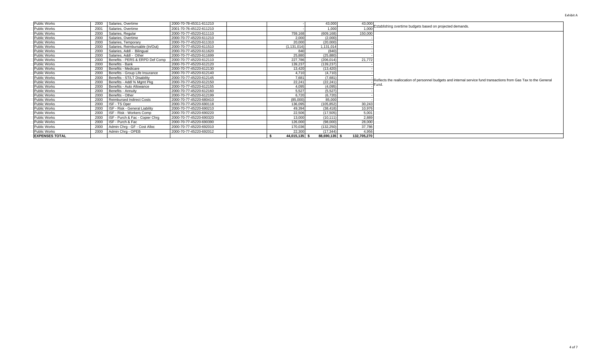| 43,000<br>Public Works<br>43,000<br>Salaries, Overtime<br>2000-70-78-45311-611210<br>2000<br>Establishing overtime budgets based on projected demands.<br>1,000<br>1,000<br>Public Works<br>2001<br>Salaries, Overtime<br>2001-70-76-45122-611210<br>150,000<br>Public Works<br>(609, 168)<br>2000<br>Salaries, Regular<br>2000-70-77-45220-611110<br>759,168<br>Public Works<br>2.000<br>2000<br>2000-70-77-45220-611210<br>(2,000)<br>Salaries, Overtime<br><b>Public Works</b><br>20,000<br>(20,000)<br>2000<br>2000-70-77-45220-611310<br>Salaries, Temporary<br><b>Public Works</b><br>1,131,014<br>2000<br>Salaries, Reimbursable (In/Out)<br>2000-70-77-45220-611510<br>(1, 131, 014)<br>Public Works<br>(840)<br>2000<br>Salaries, Addl - Bilingual<br>2000-70-77-45220-611620<br>840<br>Public Works<br>25.880<br>(25, 880)<br>2000<br>Salaries, Addl - Other<br>2000-70-77-45220-611699<br>21,772<br>227.786<br>Public Works<br>Benefits - PERS & ERPD Def Comp<br>(206.014)<br>2000<br>2000-70-77-45220-612110<br><b>Public Works</b><br>(139, 237)<br>2000<br>139.237<br>Benefits - Bank<br>2000-70-77-45220-612120<br>(13, 420)<br><b>Public Works</b><br>Benefits - Medicare<br>13.420<br>2000<br>2000-70-77-45220-612130<br>Public Works<br>2000<br>Benefits - Group Life Insurance<br>4.710<br>(4,710)<br>2000-70-77-45220-612140<br>Public Works<br>7,681<br>(7,681)<br>2000<br>Benefits - ST/LT Disability<br>2000-70-77-45220-612145<br>Reflects the reallocation of personnel budgets and internal service fund transactions from Gas Tax to the General<br>22.241<br>(22, 241)<br>Public Works<br>2000<br>Benefits - Addl % Mgmt Pkg<br>2000-70-77-45220-612150<br>Fund.<br>Public Works<br>4.095<br>(4.095)<br>2000-70-77-45220-612155<br>2000<br>Benefits - Auto Allowance<br>5,527<br>(5,527)<br><b>Public Works</b><br>2000<br>Benefits - Annuitv<br>2000-70-77-45220-612160<br>Public Works<br>6.720<br>(6,720)<br>2000<br>Benefits - Other<br>2000-70-77-45220-612199<br>85,000<br>Public Works<br>(85,000)<br>2000<br><b>Reimbursed Indirect Costs</b><br>2000-70-77-45220-680410<br>30.243<br>ISF - TS Oper<br>(105, 852)<br>Public Works<br>136,095<br>2000<br>2000-70-77-45220-690118<br>10,976<br>Public Works<br>49.394<br>2000<br>ISF - Risk - General Liability<br>2000-70-77-45220-690210<br>(38, 418)<br>5,001<br>22.506<br>(17, 505)<br>Public Works<br>2000<br>ISF - Risk - Workers Comp<br>2000-70-77-45220-690220<br>2,889<br><b>Public Works</b><br>13.000<br>2000<br>ISF - Purch & Fac - Copier Chrq<br>2000-70-77-45220-690320<br>(10, 111)<br>28,000<br>ISF - Purch & Fac<br>Public Works<br>2000<br>126,000<br>(98,000)<br>2000-70-77-45220-690390<br>Public Works<br>Admin Chrg - GF - Cost Alloc<br>37,786<br>2000<br>2000-70-77-45220-692010<br>170,036<br>(132, 250)<br>4,956<br>Public Works<br>2000<br>Admin Chrg - OPEB<br>2000-70-77-45220-692012<br>22,300<br>(17, 344)<br>88,690,135 \$ |                       |  |  |            |             |  |
|-------------------------------------------------------------------------------------------------------------------------------------------------------------------------------------------------------------------------------------------------------------------------------------------------------------------------------------------------------------------------------------------------------------------------------------------------------------------------------------------------------------------------------------------------------------------------------------------------------------------------------------------------------------------------------------------------------------------------------------------------------------------------------------------------------------------------------------------------------------------------------------------------------------------------------------------------------------------------------------------------------------------------------------------------------------------------------------------------------------------------------------------------------------------------------------------------------------------------------------------------------------------------------------------------------------------------------------------------------------------------------------------------------------------------------------------------------------------------------------------------------------------------------------------------------------------------------------------------------------------------------------------------------------------------------------------------------------------------------------------------------------------------------------------------------------------------------------------------------------------------------------------------------------------------------------------------------------------------------------------------------------------------------------------------------------------------------------------------------------------------------------------------------------------------------------------------------------------------------------------------------------------------------------------------------------------------------------------------------------------------------------------------------------------------------------------------------------------------------------------------------------------------------------------------------------------------------------------------------------------------------------------------------------------------------------------------------------------------------------------------------------------------------------------------------------------------------------------------------------------------------------------------------------------------------------------------|-----------------------|--|--|------------|-------------|--|
|                                                                                                                                                                                                                                                                                                                                                                                                                                                                                                                                                                                                                                                                                                                                                                                                                                                                                                                                                                                                                                                                                                                                                                                                                                                                                                                                                                                                                                                                                                                                                                                                                                                                                                                                                                                                                                                                                                                                                                                                                                                                                                                                                                                                                                                                                                                                                                                                                                                                                                                                                                                                                                                                                                                                                                                                                                                                                                                                                 |                       |  |  |            |             |  |
|                                                                                                                                                                                                                                                                                                                                                                                                                                                                                                                                                                                                                                                                                                                                                                                                                                                                                                                                                                                                                                                                                                                                                                                                                                                                                                                                                                                                                                                                                                                                                                                                                                                                                                                                                                                                                                                                                                                                                                                                                                                                                                                                                                                                                                                                                                                                                                                                                                                                                                                                                                                                                                                                                                                                                                                                                                                                                                                                                 |                       |  |  |            |             |  |
|                                                                                                                                                                                                                                                                                                                                                                                                                                                                                                                                                                                                                                                                                                                                                                                                                                                                                                                                                                                                                                                                                                                                                                                                                                                                                                                                                                                                                                                                                                                                                                                                                                                                                                                                                                                                                                                                                                                                                                                                                                                                                                                                                                                                                                                                                                                                                                                                                                                                                                                                                                                                                                                                                                                                                                                                                                                                                                                                                 |                       |  |  |            |             |  |
|                                                                                                                                                                                                                                                                                                                                                                                                                                                                                                                                                                                                                                                                                                                                                                                                                                                                                                                                                                                                                                                                                                                                                                                                                                                                                                                                                                                                                                                                                                                                                                                                                                                                                                                                                                                                                                                                                                                                                                                                                                                                                                                                                                                                                                                                                                                                                                                                                                                                                                                                                                                                                                                                                                                                                                                                                                                                                                                                                 |                       |  |  |            |             |  |
|                                                                                                                                                                                                                                                                                                                                                                                                                                                                                                                                                                                                                                                                                                                                                                                                                                                                                                                                                                                                                                                                                                                                                                                                                                                                                                                                                                                                                                                                                                                                                                                                                                                                                                                                                                                                                                                                                                                                                                                                                                                                                                                                                                                                                                                                                                                                                                                                                                                                                                                                                                                                                                                                                                                                                                                                                                                                                                                                                 |                       |  |  |            |             |  |
|                                                                                                                                                                                                                                                                                                                                                                                                                                                                                                                                                                                                                                                                                                                                                                                                                                                                                                                                                                                                                                                                                                                                                                                                                                                                                                                                                                                                                                                                                                                                                                                                                                                                                                                                                                                                                                                                                                                                                                                                                                                                                                                                                                                                                                                                                                                                                                                                                                                                                                                                                                                                                                                                                                                                                                                                                                                                                                                                                 |                       |  |  |            |             |  |
|                                                                                                                                                                                                                                                                                                                                                                                                                                                                                                                                                                                                                                                                                                                                                                                                                                                                                                                                                                                                                                                                                                                                                                                                                                                                                                                                                                                                                                                                                                                                                                                                                                                                                                                                                                                                                                                                                                                                                                                                                                                                                                                                                                                                                                                                                                                                                                                                                                                                                                                                                                                                                                                                                                                                                                                                                                                                                                                                                 |                       |  |  |            |             |  |
|                                                                                                                                                                                                                                                                                                                                                                                                                                                                                                                                                                                                                                                                                                                                                                                                                                                                                                                                                                                                                                                                                                                                                                                                                                                                                                                                                                                                                                                                                                                                                                                                                                                                                                                                                                                                                                                                                                                                                                                                                                                                                                                                                                                                                                                                                                                                                                                                                                                                                                                                                                                                                                                                                                                                                                                                                                                                                                                                                 |                       |  |  |            |             |  |
|                                                                                                                                                                                                                                                                                                                                                                                                                                                                                                                                                                                                                                                                                                                                                                                                                                                                                                                                                                                                                                                                                                                                                                                                                                                                                                                                                                                                                                                                                                                                                                                                                                                                                                                                                                                                                                                                                                                                                                                                                                                                                                                                                                                                                                                                                                                                                                                                                                                                                                                                                                                                                                                                                                                                                                                                                                                                                                                                                 |                       |  |  |            |             |  |
|                                                                                                                                                                                                                                                                                                                                                                                                                                                                                                                                                                                                                                                                                                                                                                                                                                                                                                                                                                                                                                                                                                                                                                                                                                                                                                                                                                                                                                                                                                                                                                                                                                                                                                                                                                                                                                                                                                                                                                                                                                                                                                                                                                                                                                                                                                                                                                                                                                                                                                                                                                                                                                                                                                                                                                                                                                                                                                                                                 |                       |  |  |            |             |  |
|                                                                                                                                                                                                                                                                                                                                                                                                                                                                                                                                                                                                                                                                                                                                                                                                                                                                                                                                                                                                                                                                                                                                                                                                                                                                                                                                                                                                                                                                                                                                                                                                                                                                                                                                                                                                                                                                                                                                                                                                                                                                                                                                                                                                                                                                                                                                                                                                                                                                                                                                                                                                                                                                                                                                                                                                                                                                                                                                                 |                       |  |  |            |             |  |
|                                                                                                                                                                                                                                                                                                                                                                                                                                                                                                                                                                                                                                                                                                                                                                                                                                                                                                                                                                                                                                                                                                                                                                                                                                                                                                                                                                                                                                                                                                                                                                                                                                                                                                                                                                                                                                                                                                                                                                                                                                                                                                                                                                                                                                                                                                                                                                                                                                                                                                                                                                                                                                                                                                                                                                                                                                                                                                                                                 |                       |  |  |            |             |  |
|                                                                                                                                                                                                                                                                                                                                                                                                                                                                                                                                                                                                                                                                                                                                                                                                                                                                                                                                                                                                                                                                                                                                                                                                                                                                                                                                                                                                                                                                                                                                                                                                                                                                                                                                                                                                                                                                                                                                                                                                                                                                                                                                                                                                                                                                                                                                                                                                                                                                                                                                                                                                                                                                                                                                                                                                                                                                                                                                                 |                       |  |  |            |             |  |
|                                                                                                                                                                                                                                                                                                                                                                                                                                                                                                                                                                                                                                                                                                                                                                                                                                                                                                                                                                                                                                                                                                                                                                                                                                                                                                                                                                                                                                                                                                                                                                                                                                                                                                                                                                                                                                                                                                                                                                                                                                                                                                                                                                                                                                                                                                                                                                                                                                                                                                                                                                                                                                                                                                                                                                                                                                                                                                                                                 |                       |  |  |            |             |  |
|                                                                                                                                                                                                                                                                                                                                                                                                                                                                                                                                                                                                                                                                                                                                                                                                                                                                                                                                                                                                                                                                                                                                                                                                                                                                                                                                                                                                                                                                                                                                                                                                                                                                                                                                                                                                                                                                                                                                                                                                                                                                                                                                                                                                                                                                                                                                                                                                                                                                                                                                                                                                                                                                                                                                                                                                                                                                                                                                                 |                       |  |  |            |             |  |
|                                                                                                                                                                                                                                                                                                                                                                                                                                                                                                                                                                                                                                                                                                                                                                                                                                                                                                                                                                                                                                                                                                                                                                                                                                                                                                                                                                                                                                                                                                                                                                                                                                                                                                                                                                                                                                                                                                                                                                                                                                                                                                                                                                                                                                                                                                                                                                                                                                                                                                                                                                                                                                                                                                                                                                                                                                                                                                                                                 |                       |  |  |            |             |  |
|                                                                                                                                                                                                                                                                                                                                                                                                                                                                                                                                                                                                                                                                                                                                                                                                                                                                                                                                                                                                                                                                                                                                                                                                                                                                                                                                                                                                                                                                                                                                                                                                                                                                                                                                                                                                                                                                                                                                                                                                                                                                                                                                                                                                                                                                                                                                                                                                                                                                                                                                                                                                                                                                                                                                                                                                                                                                                                                                                 |                       |  |  |            |             |  |
|                                                                                                                                                                                                                                                                                                                                                                                                                                                                                                                                                                                                                                                                                                                                                                                                                                                                                                                                                                                                                                                                                                                                                                                                                                                                                                                                                                                                                                                                                                                                                                                                                                                                                                                                                                                                                                                                                                                                                                                                                                                                                                                                                                                                                                                                                                                                                                                                                                                                                                                                                                                                                                                                                                                                                                                                                                                                                                                                                 |                       |  |  |            |             |  |
|                                                                                                                                                                                                                                                                                                                                                                                                                                                                                                                                                                                                                                                                                                                                                                                                                                                                                                                                                                                                                                                                                                                                                                                                                                                                                                                                                                                                                                                                                                                                                                                                                                                                                                                                                                                                                                                                                                                                                                                                                                                                                                                                                                                                                                                                                                                                                                                                                                                                                                                                                                                                                                                                                                                                                                                                                                                                                                                                                 |                       |  |  |            |             |  |
|                                                                                                                                                                                                                                                                                                                                                                                                                                                                                                                                                                                                                                                                                                                                                                                                                                                                                                                                                                                                                                                                                                                                                                                                                                                                                                                                                                                                                                                                                                                                                                                                                                                                                                                                                                                                                                                                                                                                                                                                                                                                                                                                                                                                                                                                                                                                                                                                                                                                                                                                                                                                                                                                                                                                                                                                                                                                                                                                                 |                       |  |  |            |             |  |
|                                                                                                                                                                                                                                                                                                                                                                                                                                                                                                                                                                                                                                                                                                                                                                                                                                                                                                                                                                                                                                                                                                                                                                                                                                                                                                                                                                                                                                                                                                                                                                                                                                                                                                                                                                                                                                                                                                                                                                                                                                                                                                                                                                                                                                                                                                                                                                                                                                                                                                                                                                                                                                                                                                                                                                                                                                                                                                                                                 |                       |  |  |            |             |  |
|                                                                                                                                                                                                                                                                                                                                                                                                                                                                                                                                                                                                                                                                                                                                                                                                                                                                                                                                                                                                                                                                                                                                                                                                                                                                                                                                                                                                                                                                                                                                                                                                                                                                                                                                                                                                                                                                                                                                                                                                                                                                                                                                                                                                                                                                                                                                                                                                                                                                                                                                                                                                                                                                                                                                                                                                                                                                                                                                                 |                       |  |  |            |             |  |
|                                                                                                                                                                                                                                                                                                                                                                                                                                                                                                                                                                                                                                                                                                                                                                                                                                                                                                                                                                                                                                                                                                                                                                                                                                                                                                                                                                                                                                                                                                                                                                                                                                                                                                                                                                                                                                                                                                                                                                                                                                                                                                                                                                                                                                                                                                                                                                                                                                                                                                                                                                                                                                                                                                                                                                                                                                                                                                                                                 |                       |  |  |            |             |  |
|                                                                                                                                                                                                                                                                                                                                                                                                                                                                                                                                                                                                                                                                                                                                                                                                                                                                                                                                                                                                                                                                                                                                                                                                                                                                                                                                                                                                                                                                                                                                                                                                                                                                                                                                                                                                                                                                                                                                                                                                                                                                                                                                                                                                                                                                                                                                                                                                                                                                                                                                                                                                                                                                                                                                                                                                                                                                                                                                                 |                       |  |  |            |             |  |
|                                                                                                                                                                                                                                                                                                                                                                                                                                                                                                                                                                                                                                                                                                                                                                                                                                                                                                                                                                                                                                                                                                                                                                                                                                                                                                                                                                                                                                                                                                                                                                                                                                                                                                                                                                                                                                                                                                                                                                                                                                                                                                                                                                                                                                                                                                                                                                                                                                                                                                                                                                                                                                                                                                                                                                                                                                                                                                                                                 |                       |  |  |            |             |  |
|                                                                                                                                                                                                                                                                                                                                                                                                                                                                                                                                                                                                                                                                                                                                                                                                                                                                                                                                                                                                                                                                                                                                                                                                                                                                                                                                                                                                                                                                                                                                                                                                                                                                                                                                                                                                                                                                                                                                                                                                                                                                                                                                                                                                                                                                                                                                                                                                                                                                                                                                                                                                                                                                                                                                                                                                                                                                                                                                                 | <b>EXPENSES TOTAL</b> |  |  | 44,015,135 | 132,705,270 |  |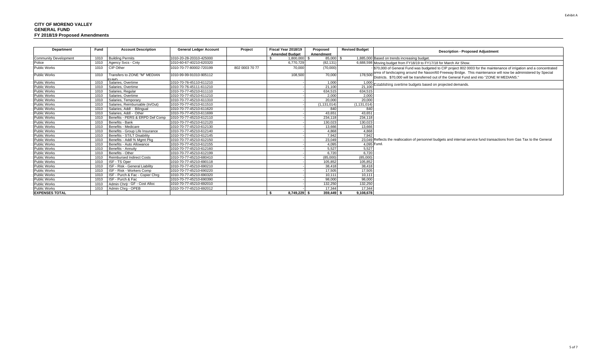| <b>Department</b>            | Fund | <b>Account Description</b>               | <b>General Ledger Account</b> | Project        | Fiscal Year 2018/19   |              | Proposed      | <b>Revised Budget</b> | <b>Description - Proposed Adjustment</b>                                                                                 |
|------------------------------|------|------------------------------------------|-------------------------------|----------------|-----------------------|--------------|---------------|-----------------------|--------------------------------------------------------------------------------------------------------------------------|
|                              |      |                                          |                               |                | <b>Amended Budget</b> |              | Amendment     |                       |                                                                                                                          |
| <b>Community Development</b> | 1010 | <b>Building Permits</b>                  | 1010-20-28-20310-425000       |                |                       | 1,800,000    | 85,000 \$     |                       | 1,885,000 Based on trends increasing budget                                                                              |
| Police                       | 1010 | Agency Svcs - Cnty                       | 1010-60-67-40210-620320       |                |                       | 6,770,729    | (82, 131)     |                       | 6,688,598 Moving budget from FY18/19 to FY17/18 for March Air Show.                                                      |
| Public Works                 | 1010 | CIP Other                                | 1010-70-77-80002-720199       | 802 0003 70 77 |                       | 70,000       | (70,000)      |                       | \$70,000 of General Fund was budgeted to CIP project 802 0003 for the maintenance of irrigation and a concentrated       |
|                              |      |                                          |                               |                |                       |              |               |                       | area of landscaping around the Nason/60 Freeway Bridge. This maintenance will now be administered by Special             |
| <b>Public Works</b>          | 1010 | Transfers to ZONE "M" MEDIAN<br>רו או ו־ | 1010-99-99-91010-905112       |                |                       | 108,500      | 70,000        | 178,500               | Districts. \$70,000 will be transferred out of the General Fund and into "ZONE M MEDIANS."                               |
| <b>Public Works</b>          | 1010 | Salaries, Overtime                       | 1010-70-76-45110-611210       |                |                       |              | 1.000         | 1.000                 | Establishing overtime budgets based on projected demands.                                                                |
| <b>Public Works</b>          | 1010 | Salaries, Overtime                       | 1010-70-76-45111-611210       |                |                       |              | 21.100        | 21.100                |                                                                                                                          |
| <b>Public Works</b>          | 1010 | Salaries, Regular                        | 1010-70-77-45210-611110       |                |                       |              | 634.515       | 634,515               |                                                                                                                          |
| Public Works                 | 1010 | Salaries, Overtime                       | 1010-70-77-45210-611210       |                |                       |              | 2,000         | 2,000                 |                                                                                                                          |
| Public Works                 | 1010 | Salaries, Temporary                      | 1010-70-77-45210-611310       |                |                       |              | 20.000        | 20,000                |                                                                                                                          |
| <b>Public Works</b>          | 1010 | Salaries, Reimbursable (In/Out)          | 1010-70-77-45210-611510       |                |                       |              | (1, 131, 014) | (1, 131, 014)         |                                                                                                                          |
| <b>Public Works</b>          | 1010 | Salaries, Addl - Bilingual               | 1010-70-77-45210-611620       |                |                       |              | 840           | 840                   |                                                                                                                          |
| <b>Public Works</b>          | 1010 | Salaries, Addl - Other                   | 1010-70-77-45210-611699       |                |                       |              | 43.651        | 43.651                |                                                                                                                          |
| <b>Public Works</b>          | 1010 | Benefits - PERS & ERPD Def Comp          | 1010-70-77-45210-612110       |                |                       |              | 234.118       | 234.118               |                                                                                                                          |
| <b>Public Works</b>          | 1010 | Benefits - Bank                          | 1010-70-77-45210-612120       |                |                       |              | 130.023       | 130,023               |                                                                                                                          |
| Public Works                 | 1010 | Benefits - Medicare                      | 1010-70-77-45210-612130       |                |                       |              | 13.666        | 13,666                |                                                                                                                          |
| Public Works                 | 1010 | Benefits - Group Life Insurance          | 1010-70-77-45210-612140       |                |                       |              | 4.868         | 4.868                 |                                                                                                                          |
| Public Works                 | 1010 | Benefits - ST/LT Disability              | 1010-70-77-45210-612145       |                |                       |              | 7.942         | 7.942                 |                                                                                                                          |
| Public Works                 | 1010 | Benefits - Addl % Mamt Pka               | 1010-70-77-45210-612150       |                |                       |              | 23.049        |                       | 23,049 Reflects the reallocation of personnel budgets and internal service fund transactions from Gas Tax to the General |
| Public Works                 | 1010 | Benefits - Auto Allowance                | 1010-70-77-45210-612155       |                |                       |              | 4.095         | 4,095 Fund.           |                                                                                                                          |
| <b>Public Works</b>          | 1010 | Benefits - Annuity                       | 1010-70-77-45210-612160       |                |                       |              | 5.527         | 5.527                 |                                                                                                                          |
| <b>Public Works</b>          | 1010 | Benefits - Other                         | 1010-70-77-45210-612199       |                |                       |              | 6.720         | 6.720                 |                                                                                                                          |
| <b>Public Works</b>          | 1010 | <b>Reimbursed Indirect Costs</b>         | 1010-70-77-45210-680410       |                |                       |              | (85,000)      | (85,000)              |                                                                                                                          |
| <b>Public Works</b>          | 1010 | ISF - TS Oper                            | 1010-70-77-45210-690118       |                |                       |              | 105,852       | 105,852               |                                                                                                                          |
| <b>Public Works</b>          | 1010 | ISF - Risk - General Liability           | 1010-70-77-45210-690210       |                |                       |              | 38.418        | 38,418                |                                                                                                                          |
| <b>Public Works</b>          | 1010 | ISF - Risk - Workers Comp                | 1010-70-77-45210-690220       |                |                       |              | 17,505        | 17,505                |                                                                                                                          |
| Public Works                 | 1010 | ISF - Purch & Fac - Copier Chrg          | 1010-70-77-45210-690320       |                |                       |              | 10.111        | 10.111                |                                                                                                                          |
| <b>Public Works</b>          | 1010 | ISF - Purch & Fac                        | 1010-70-77-45210-690390       |                |                       |              | 98.000        | 98,000                |                                                                                                                          |
| <b>Public Works</b>          | 1010 | Admin Chra - GF - Cost Alloc             | 1010-70-77-45210-692010       |                |                       |              | 132.250       | 132,250               |                                                                                                                          |
| <b>Public Works</b>          | 1010 | Admin Chra - OPEB                        | 1010-70-77-45210-692012       |                |                       |              | 17.344        | 17.344                |                                                                                                                          |
| <b>EXPENSES TOTAL</b>        |      |                                          |                               |                |                       | 8,749,229 \$ | 359,449 \$    | 9,108,678             |                                                                                                                          |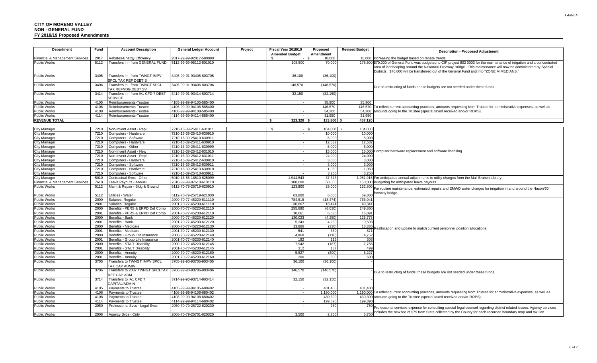| Department                                 | Fund         | <b>Account Description</b>                            | <b>General Ledger Account</b>                      | Project | Fiscal Year 2018/19<br><b>Amended Budget</b> | Proposed<br>Amendment | <b>Revised Budget</b> | <b>Description - Proposed Adjustment</b>                                                                                                                                                                                                                                                                                                 |
|--------------------------------------------|--------------|-------------------------------------------------------|----------------------------------------------------|---------|----------------------------------------------|-----------------------|-----------------------|------------------------------------------------------------------------------------------------------------------------------------------------------------------------------------------------------------------------------------------------------------------------------------------------------------------------------------------|
| <b>Financial &amp; Management Services</b> | 2017         | Rebates-Energy Efficiency                             | 2017-99-99-92017-580080                            |         | $\mathcal{S}$                                | 10.000                |                       | 10,000 Increasing the budget based on rebate trends.                                                                                                                                                                                                                                                                                     |
| <b>Public Works</b>                        | 5112         | Transfers in - from GENERAL FUND                      | 5112-99-99-95112-801010                            |         | 108,500                                      | 70,000                |                       | 178,500 \$70,000 of General Fund was budgeted to CIP project 802 0003 for the maintenance of irrigation and a concentrated<br>area of landscaping around the Nason/60 Freeway Bridge. This maintenance will now be administered by Special<br>Districts. \$70,000 will be transferred out of the General Fund and into "ZONE M MEDIANS." |
| <b>Public Works</b>                        | 3405         | Transfers in - from TWNGT IMPV<br>SPCL TAX REF DEBT S | 3405-99-91-93405-803705                            |         | 36,100                                       | (36, 100)             |                       |                                                                                                                                                                                                                                                                                                                                          |
| <b>Public Works</b>                        | 3406         | Transfers in - from TWNGT SPCL<br>TAX REFNDG DEBT SV  | 3406-99-91-93406-803706                            |         | 146,570                                      | (146, 570)            |                       | Due to restructing of funds, these budgets are not needed under these funds.                                                                                                                                                                                                                                                             |
| <b>Public Works</b>                        | 3414         | Transfers in - from IA1 CFD 7 DEBT<br><b>SERVICE</b>  | 3414-99-91-93414-803714                            |         | 32,150                                       | (32, 150)             |                       |                                                                                                                                                                                                                                                                                                                                          |
| <b>Public Works</b>                        | 4105         | Reimbursements-Trustee                                | 4105-99-99-94105-585400                            |         |                                              | 35,900                | 35.900                |                                                                                                                                                                                                                                                                                                                                          |
| <b>Public Works</b>                        | 4106         | Reimbursements-Trustee                                | 4106-99-99-94106-585400                            |         |                                              | 146,570               |                       | 146,570 To reflect current accounting practices, amounts requesting from Trustee for administrative expenses, as well as                                                                                                                                                                                                                 |
| <b>Public Works</b>                        | 4108         | Reimbursements-Trustee                                | 4108-99-99-94108-585400                            |         |                                              | 54,200                |                       | 54,200 amounts going to the Trustee (special taxed received and/or ROPS).                                                                                                                                                                                                                                                                |
| <b>Public Works</b>                        | 4114         | Reimbursements-Trustee                                | 4114-99-99-94114-585400                            |         |                                              | 31,950                | 31,950                |                                                                                                                                                                                                                                                                                                                                          |
| <b>REVENUE TOTAL</b>                       |              |                                                       |                                                    |         | $323,320$ \$                                 | 133,800               | 457,120               |                                                                                                                                                                                                                                                                                                                                          |
|                                            |              |                                                       |                                                    |         |                                              |                       |                       |                                                                                                                                                                                                                                                                                                                                          |
| City Manager                               | 7210         | Non-Invent Asset - Repl                               | 7210-16-39-25411-631011                            |         | - S                                          | 104,000 \$<br>\$      | 104.000               |                                                                                                                                                                                                                                                                                                                                          |
| <b>City Manager</b>                        | 7210         | Computers - Hardware                                  | 7210-16-39-25410-630910                            |         |                                              | 10,000                | 10.000                |                                                                                                                                                                                                                                                                                                                                          |
| City Manager                               | 7210         | Computers - Software                                  | 7210-16-39-25410-630911                            |         |                                              | 5,000                 | 5,000                 |                                                                                                                                                                                                                                                                                                                                          |
| City Manager                               | 7210         | Computers - Hardware                                  | 7210-16-39-25411-630910                            |         |                                              | 12.532                | 12.532                |                                                                                                                                                                                                                                                                                                                                          |
| <b>City Manager</b>                        | 7210<br>7210 | Computers - Other<br>Non-Invent Asset - New           | 7210-16-39-25411-630999<br>7210-16-39-25412-631010 |         |                                              | 5,000<br>15,000       | 5,000                 | 15,000 Computer hardware replacement and software licensing.                                                                                                                                                                                                                                                                             |
| City Manager                               | 7210         | Non-Invent Asset - Repl                               | 7210-16-39-25412-631011                            |         |                                              | 24,000                | 24,000                |                                                                                                                                                                                                                                                                                                                                          |
| City Manager<br>City Manager               | 7210         | Computers - Hardware                                  | 7210-16-39-25412-630910                            |         |                                              | 3,000                 | 3.000                 |                                                                                                                                                                                                                                                                                                                                          |
| <b>City Manager</b>                        | 7210         | Computers - Software                                  | 7210-16-39-25412-630911                            |         |                                              | 3,000                 | 3,000                 |                                                                                                                                                                                                                                                                                                                                          |
| <b>City Manager</b>                        | 7210         | Computers - Hardware                                  | 7210-16-39-25413-630910                            |         |                                              | 1,050                 | 1,050                 |                                                                                                                                                                                                                                                                                                                                          |
| City Manager                               | 7210         | Computers - Software                                  | 7210-16-39-25413-630911                            |         |                                              | 3.25(                 | 3.250                 |                                                                                                                                                                                                                                                                                                                                          |
| <b>City Manager</b>                        | 5010         | Contractual Svcs - Other                              | 5010-16-56-18510-625099                            |         | 1.944.543                                    | 37.373                |                       | 1,981,916 For anticipated annual adjustments to utility charges from the Mall Branch Library.                                                                                                                                                                                                                                            |
| Financial & Management Services            | 7610         | Leave Pavouts - Annual                                | 7610-99-99-97610-613110                            |         | 100.000                                      | 50.000                |                       | 150,000 Budgeting for anticipated leave payouts.                                                                                                                                                                                                                                                                                         |
| <b>Public Works</b>                        | 5112         | Maint & Repair - Bldg & Ground                        | 5112-70-79-25719-620910                            |         | 123,800                                      | 29,000                | 152,800               | For routine maintenance, estimated repairs and EMWD water charges for irrigation in and around the Nason/60                                                                                                                                                                                                                              |
| <b>Public Works</b>                        | 5112         | Utilities - Water                                     | 5112-70-79-25719-621030                            |         | 63,800                                       | 6,000                 | 69.800                | eeway bridge.                                                                                                                                                                                                                                                                                                                            |
| <b>Public Works</b>                        | 2000         | Salaries, Regular                                     | 2000-70-77-45220-611110                            |         | 784,515                                      | (18.474)              | 766,041               |                                                                                                                                                                                                                                                                                                                                          |
| Public Works                               | 2001         | Salaries, Regular                                     | 2001-70-77-45230-611110                            |         | 30,867                                       | 18.474                | 49,341                |                                                                                                                                                                                                                                                                                                                                          |
| <b>Public Works</b>                        | 2000         | Benefits - PERS & ERPD Def Comp                       | 2000-70-77-45220-612110                            |         | 255.890                                      | (6.030)               | 249.860               |                                                                                                                                                                                                                                                                                                                                          |
| <b>Public Works</b>                        | 2001         | Benefits - PERS & ERPD Def Comp                       | 2001-70-77-45230-612110                            |         | 10.06 <sup>4</sup>                           | 6.03                  | 16.091                |                                                                                                                                                                                                                                                                                                                                          |
| <b>Public Works</b>                        | 2000         | Benefits - Bank                                       | 2000-70-77-45220-612120                            |         | 130.02                                       | (4.250)               | 125,773               |                                                                                                                                                                                                                                                                                                                                          |
| Public Works                               | 2001         | Benefits - Bank                                       | 2001-70-77-45230-612120                            |         | 5,343                                        | 4,250                 | 9,593                 |                                                                                                                                                                                                                                                                                                                                          |
| <b>Public Works</b>                        | 2000         | Benefits - Medicare                                   | 2000-70-77-45220-612130                            |         | 13.666                                       | (330)                 | 13,336                | eallocation and update to match current personnel position allocations.                                                                                                                                                                                                                                                                  |
| <b>Public Works</b>                        | 2001         | Benefits - Medicare                                   | 2001-70-77-45230-612130                            |         | 541                                          | 330                   | 871                   |                                                                                                                                                                                                                                                                                                                                          |
| <b>Public Works</b>                        | 2000         | Benefits - Group Life Insurance                       | 2000-70-77-45220-612140                            |         | 4,868                                        | (116)                 | 4,752                 |                                                                                                                                                                                                                                                                                                                                          |
| <b>Public Works</b>                        | 2001         | Benefits - Group Life Insurance                       | 2001-70-77-45230-612140                            |         | 192                                          | 116                   | 308                   |                                                                                                                                                                                                                                                                                                                                          |
| <b>Public Works</b>                        | 2000         | Benefits - ST/LT Disability                           | 2000-70-77-45220-612145                            |         | 7,942                                        | (187)                 | 7,755                 |                                                                                                                                                                                                                                                                                                                                          |
| <b>Public Works</b>                        | 2001         | Benefits - ST/LT Disability                           | 2001-70-77-45230-612145                            |         | 312                                          | 187                   | 499                   |                                                                                                                                                                                                                                                                                                                                          |
| <b>Public Works</b>                        | 2000         | Benefits - Annuity                                    | 2000-70-77-45220-612160                            |         | 5,527                                        | (300)                 | 5,227                 |                                                                                                                                                                                                                                                                                                                                          |
| <b>Public Works</b>                        | 2001         | Benefits - Annuitv                                    | 2001-70-77-45230-612160                            |         | 300                                          | 300                   | 600                   |                                                                                                                                                                                                                                                                                                                                          |
| <b>Public Works</b>                        | 3705         | Transfers to TWNGT IMPV SPCL<br><b>TAX CAP ADMIN</b>  | 3705-99-90-93705-903405                            |         | 36,100                                       | (36, 100)             |                       |                                                                                                                                                                                                                                                                                                                                          |
| <b>Public Works</b>                        | 3706         | Transfers to 2007 TWNGT SPCLTAX<br>REF CAP ADM        | 3706-99-90-93706-903406                            |         | 146,570                                      | (146, 570)            |                       | Due to restructing of funds, these budgets are not needed under these funds.                                                                                                                                                                                                                                                             |
| <b>Public Works</b>                        | 3714         | Transfers to IA1 CFD 7<br>CAPITAL/ADMIN               | 3714-99-90-93714-903414                            |         | 32,150                                       | (32, 150)             |                       |                                                                                                                                                                                                                                                                                                                                          |
| Public Works                               | 4105         | Payments to Trustee                                   | 4105-99-99-94105-680402                            |         |                                              | 401,400               | 401.400               |                                                                                                                                                                                                                                                                                                                                          |
| <b>Public Works</b>                        | 4106         | Payments to Trustee                                   | 4106-99-99-94106-680402                            |         |                                              | 1.190.000             |                       | 1,190,000 To reflect current accounting practices, amounts requesting from Trustee for administrative expenses, as well as                                                                                                                                                                                                               |
| <b>Public Works</b>                        | 4108         | Payments to Trustee                                   | 4108-99-99-94108-680402                            |         |                                              | 430.390               |                       | 430,390 amounts going to the Trustee (special taxed received and/or ROPS).                                                                                                                                                                                                                                                               |
| <b>Public Works</b>                        | 4114         | Payments to Trustee                                   | 4114-99-99-94114-680402                            |         |                                              | 199.890               | 199,890               |                                                                                                                                                                                                                                                                                                                                          |
| <b>Public Works</b>                        | 2050         | Professional Svcs - Legal Svcs                        | 2050-70-79-25722-620230                            |         |                                              | 750                   | 750                   | Professional services expense for consulting special legal counsel regarding district related issues. Agency services                                                                                                                                                                                                                    |
| <b>Public Works</b>                        |              | 2006 Agency Svcs - Cnty                               | 2006-70-79-25701-620320                            |         | 3.500                                        | 2.250                 | 5.750                 | includes the new fee of \$75 from State collected by the County for each recorded boundary map and tax lien.                                                                                                                                                                                                                             |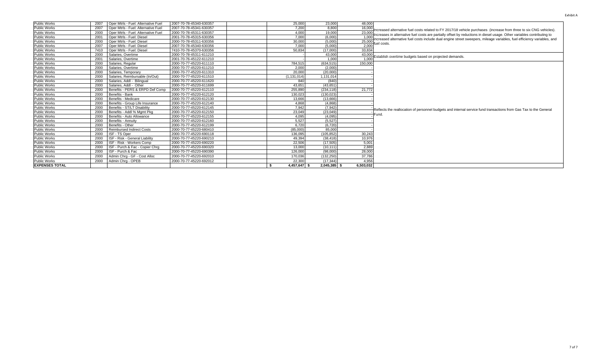| <b>Public Works</b>   | 2007 | Oper Mtrls - Fuel: Alternative Fuel | 2007-70-78-45340-630357 |  | 25,000       | 23.000         | 48,000    |                                                                                                                         |
|-----------------------|------|-------------------------------------|-------------------------|--|--------------|----------------|-----------|-------------------------------------------------------------------------------------------------------------------------|
| <b>Public Works</b>   | 2007 | Oper Mtrls - Fuel: Alternative Fuel | 2007-70-78-45341-630357 |  | 7.200        | 8.800          | 16,000    | Increased alternative fuel costs related to FY 2017/18 vehicle purchases (increase from three to six CNG vehicles).     |
| <b>Public Works</b>   | 2000 | Oper Mtrls - Fuel: Alternative Fuel | 2000-70-78-45311-630357 |  | 4.000        | 19,000         | 23,000    | Increases in alternative fuel costs are partially offset by reductions in diesel usage. Other variables contributing to |
| <b>Public Works</b>   | 2001 | Oper Mtrls - Fuel: Diesel           | 2001-70-78-45315-630356 |  | 7.000        | (6,000)        | 1.000     | ncreased alternative fuel costs include dual engine street sweepers, mileage variables, fuel efficiency variables, and  |
| <b>Public Works</b>   | 2000 | Oper Mtrls - Fuel: Diesel           | 2000-70-78-45311-630356 |  | 30.000       | (5,000)        | 25,000    |                                                                                                                         |
| <b>Public Works</b>   | 2007 | Oper Mtrls - Fuel: Diesel           | 2007-70-78-45340-630356 |  | 7.000        | (5,000)        | 2.000     | fuel costs.                                                                                                             |
| <b>Public Works</b>   | 7410 | Oper Mtrls - Fuel: Diesel           | 7410-70-78-45370-630356 |  | 50.834       | (17,000)       | 33,834    |                                                                                                                         |
| <b>Public Works</b>   | 2000 | Salaries, Overtime                  | 2000-70-78-45311-611210 |  |              | 43,000         |           | 43,000 Establish overtime budgets based on projected demands.                                                           |
| <b>Public Works</b>   | 2001 | Salaries, Overtime                  | 2001-70-76-45122-611210 |  |              | 1.000          |           |                                                                                                                         |
| <b>Public Works</b>   | 2000 | Salaries, Regular                   | 2000-70-77-45220-611110 |  | 784.515      | (634.515)      | 150,000   |                                                                                                                         |
| <b>Public Works</b>   | 2000 | Salaries, Overtime                  | 2000-70-77-45220-611210 |  | 2.000        | (2.000)        |           |                                                                                                                         |
| <b>Public Works</b>   | 2000 | Salaries, Temporary                 | 2000-70-77-45220-611310 |  | 20.000       | (20.000)       |           |                                                                                                                         |
| <b>Public Works</b>   | 2000 | Salaries, Reimbursable (In/Out)     | 2000-70-77-45220-611510 |  | (1.131.014)  | 1.131.014      |           |                                                                                                                         |
| <b>Public Works</b>   | 2000 | Salaries, Addl - Bilingual          | 2000-70-77-45220-611620 |  | 840          | (840)          |           |                                                                                                                         |
| <b>Public Works</b>   | 2000 | Salaries, Addl - Other              | 2000-70-77-45220-611699 |  | 43.651       | (43.651)       |           |                                                                                                                         |
| <b>Public Works</b>   | 2000 | Benefits - PERS & ERPD Def Comp     | 2000-70-77-45220-612110 |  | 255.890      | (234.118       | 21,772    |                                                                                                                         |
| <b>Public Works</b>   | 2000 | Benefits - Bank                     | 2000-70-77-45220-612120 |  | 130.023      | (130.023)      |           |                                                                                                                         |
| <b>Public Works</b>   | 2000 | Benefits - Medicare                 | 2000-70-77-45220-612130 |  | 13.666       | (13.666)       |           |                                                                                                                         |
| <b>Public Works</b>   | 2000 | Benefits - Group Life Insurance     | 2000-70-77-45220-612140 |  | 4.868        | (4.868)        |           |                                                                                                                         |
| <b>Public Works</b>   | 2000 | Benefits - ST/LT Disability         | 2000-70-77-45220-612145 |  | 7.942        | (7, 942)       |           |                                                                                                                         |
| <b>Public Works</b>   | 2000 | Benefits - Addl % Mamt Pka          | 2000-70-77-45220-612150 |  | 23,049       | (23, 049)      |           | Reflects the reallocation of personnel budgets and internal service fund transactions from Gas Tax to the General       |
| <b>Public Works</b>   | 2000 | Benefits - Auto Allowance           | 2000-70-77-45220-612155 |  | 4,095        | (4,095)        |           | Fund.                                                                                                                   |
| <b>Public Works</b>   | 2000 | Benefits - Annuity                  | 2000-70-77-45220-612160 |  | 5.527        | (5, 527)       |           |                                                                                                                         |
| <b>Public Works</b>   | 2000 | Benefits - Other                    | 2000-70-77-45220-612199 |  | 6.720        | (6.720)        |           |                                                                                                                         |
| <b>Public Works</b>   | 2000 | <b>Reimbursed Indirect Costs</b>    | 2000-70-77-45220-680410 |  | (85.000)     | 85,000         |           |                                                                                                                         |
| <b>Public Works</b>   | 2000 | ISF - TS Oper                       | 2000-70-77-45220-690118 |  | 136,095      | (105, 852)     | 30,243    |                                                                                                                         |
| <b>Public Works</b>   | 2000 | ISF - Risk - General Liability      | 2000-70-77-45220-690210 |  | 49.394       | (38, 418)      | 10,976    |                                                                                                                         |
| <b>Public Works</b>   | 2000 | ISF - Risk - Workers Comp           | 2000-70-77-45220-690220 |  | 22.506       | (17, 505)      | 5,001     |                                                                                                                         |
| <b>Public Works</b>   | 2000 | ISF - Purch & Fac - Copier Chrg     | 2000-70-77-45220-690320 |  | 13,000       | (10, 111)      | 2,889     |                                                                                                                         |
| Public Works          | 2000 | ISF - Purch & Fac                   | 2000-70-77-45220-690390 |  | 126,000      | (98,000)       | 28,000    |                                                                                                                         |
| <b>Public Works</b>   | 2000 | Admin Chrg - GF - Cost Alloc        | 2000-70-77-45220-692010 |  | 170.036      | (132.250       | 37,786    |                                                                                                                         |
| <b>Public Works</b>   | 2000 | Admin Chra - OPEB                   | 2000-70-77-45220-692012 |  | 22,300       | (17.344)       | 4.956     |                                                                                                                         |
| <b>EXPENSES TOTAL</b> |      |                                     |                         |  | 4.457.647 \$ | $2.045.385$ \$ | 6.503.032 |                                                                                                                         |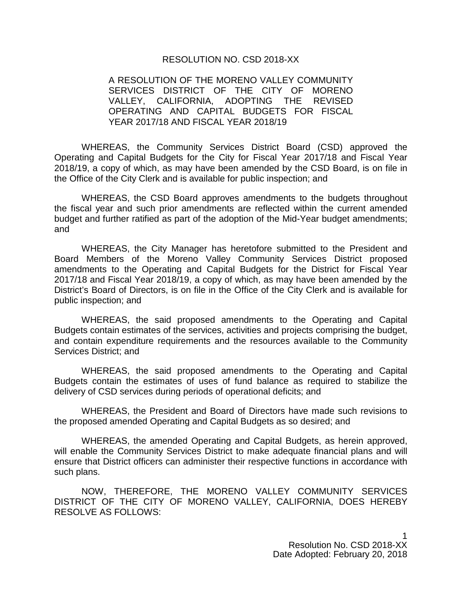#### RESOLUTION NO. CSD 2018-XX

## A RESOLUTION OF THE MORENO VALLEY COMMUNITY SERVICES DISTRICT OF THE CITY OF MORENO VALLEY, CALIFORNIA, ADOPTING THE REVISED OPERATING AND CAPITAL BUDGETS FOR FISCAL YEAR 2017/18 AND FISCAL YEAR 2018/19

WHEREAS, the Community Services District Board (CSD) approved the Operating and Capital Budgets for the City for Fiscal Year 2017/18 and Fiscal Year 2018/19, a copy of which, as may have been amended by the CSD Board, is on file in the Office of the City Clerk and is available for public inspection; and

WHEREAS, the CSD Board approves amendments to the budgets throughout the fiscal year and such prior amendments are reflected within the current amended budget and further ratified as part of the adoption of the Mid-Year budget amendments; and

WHEREAS, the City Manager has heretofore submitted to the President and Board Members of the Moreno Valley Community Services District proposed amendments to the Operating and Capital Budgets for the District for Fiscal Year 2017/18 and Fiscal Year 2018/19, a copy of which, as may have been amended by the District's Board of Directors, is on file in the Office of the City Clerk and is available for public inspection; and

WHEREAS, the said proposed amendments to the Operating and Capital Budgets contain estimates of the services, activities and projects comprising the budget, and contain expenditure requirements and the resources available to the Community Services District; and

WHEREAS, the said proposed amendments to the Operating and Capital Budgets contain the estimates of uses of fund balance as required to stabilize the delivery of CSD services during periods of operational deficits; and

WHEREAS, the President and Board of Directors have made such revisions to the proposed amended Operating and Capital Budgets as so desired; and

WHEREAS, the amended Operating and Capital Budgets, as herein approved, will enable the Community Services District to make adequate financial plans and will ensure that District officers can administer their respective functions in accordance with such plans.

NOW, THEREFORE, THE MORENO VALLEY COMMUNITY SERVICES DISTRICT OF THE CITY OF MORENO VALLEY, CALIFORNIA, DOES HEREBY RESOLVE AS FOLLOWS:

> 1 Resolution No. CSD 2018-XX Date Adopted: February 20, 2018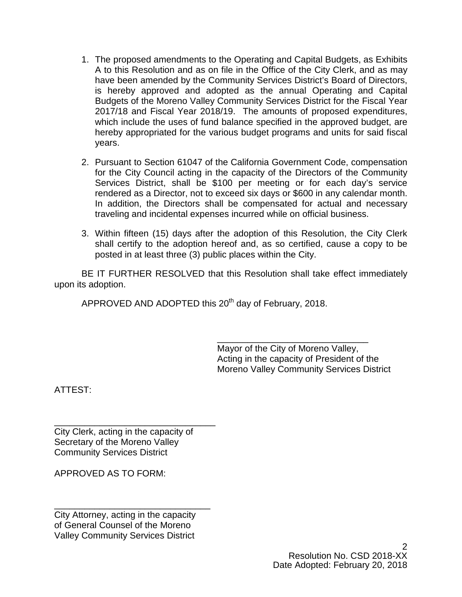- 1. The proposed amendments to the Operating and Capital Budgets, as Exhibits A to this Resolution and as on file in the Office of the City Clerk, and as may have been amended by the Community Services District's Board of Directors, is hereby approved and adopted as the annual Operating and Capital Budgets of the Moreno Valley Community Services District for the Fiscal Year 2017/18 and Fiscal Year 2018/19. The amounts of proposed expenditures, which include the uses of fund balance specified in the approved budget, are hereby appropriated for the various budget programs and units for said fiscal years.
- 2. Pursuant to Section 61047 of the California Government Code, compensation for the City Council acting in the capacity of the Directors of the Community Services District, shall be \$100 per meeting or for each day's service rendered as a Director, not to exceed six days or \$600 in any calendar month. In addition, the Directors shall be compensated for actual and necessary traveling and incidental expenses incurred while on official business.
- 3. Within fifteen (15) days after the adoption of this Resolution, the City Clerk shall certify to the adoption hereof and, as so certified, cause a copy to be posted in at least three (3) public places within the City.

BE IT FURTHER RESOLVED that this Resolution shall take effect immediately upon its adoption.

APPROVED AND ADOPTED this 20<sup>th</sup> day of February, 2018.

\_\_\_\_\_\_\_\_\_\_\_\_\_\_\_\_\_\_\_\_\_\_\_\_\_\_\_\_\_\_ Mayor of the City of Moreno Valley, Acting in the capacity of President of the Moreno Valley Community Services District

ATTEST:

\_\_\_\_\_\_\_\_\_\_\_\_\_\_\_\_\_\_\_\_\_\_\_\_\_\_\_\_\_\_\_\_ City Clerk, acting in the capacity of Secretary of the Moreno Valley Community Services District

APPROVED AS TO FORM:

\_\_\_\_\_\_\_\_\_\_\_\_\_\_\_\_\_\_\_\_\_\_\_\_\_\_\_\_\_\_\_ City Attorney, acting in the capacity of General Counsel of the Moreno Valley Community Services District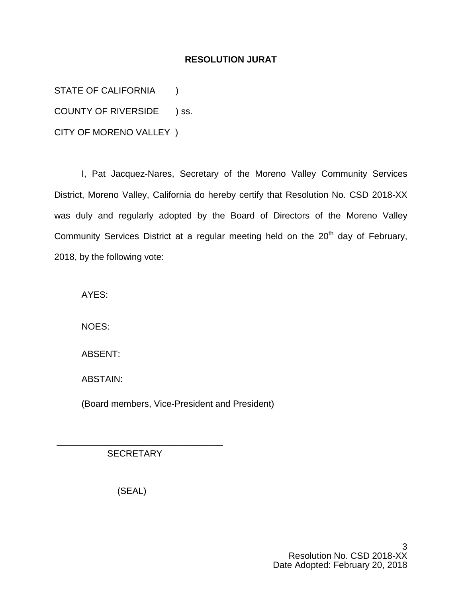# **RESOLUTION JURAT**

STATE OF CALIFORNIA (1)

COUNTY OF RIVERSIDE ) ss.

CITY OF MORENO VALLEY )

I, Pat Jacquez-Nares, Secretary of the Moreno Valley Community Services District, Moreno Valley, California do hereby certify that Resolution No. CSD 2018-XX was duly and regularly adopted by the Board of Directors of the Moreno Valley Community Services District at a regular meeting held on the  $20<sup>th</sup>$  day of February, 2018, by the following vote:

AYES:

NOES:

ABSENT:

ABSTAIN:

(Board members, Vice-President and President)

**SECRETARY** 

\_\_\_\_\_\_\_\_\_\_\_\_\_\_\_\_\_\_\_\_\_\_\_\_\_\_\_\_\_\_\_\_\_

(SEAL)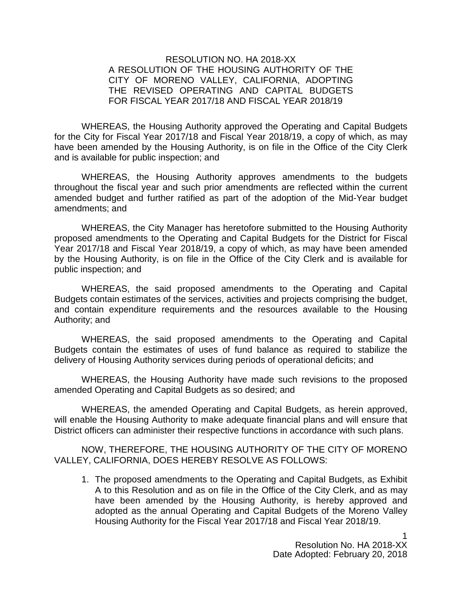# RESOLUTION NO. HA 2018-XX A RESOLUTION OF THE HOUSING AUTHORITY OF THE CITY OF MORENO VALLEY, CALIFORNIA, ADOPTING THE REVISED OPERATING AND CAPITAL BUDGETS FOR FISCAL YEAR 2017/18 AND FISCAL YEAR 2018/19

WHEREAS, the Housing Authority approved the Operating and Capital Budgets for the City for Fiscal Year 2017/18 and Fiscal Year 2018/19, a copy of which, as may have been amended by the Housing Authority, is on file in the Office of the City Clerk and is available for public inspection; and

WHEREAS, the Housing Authority approves amendments to the budgets throughout the fiscal year and such prior amendments are reflected within the current amended budget and further ratified as part of the adoption of the Mid-Year budget amendments; and

WHEREAS, the City Manager has heretofore submitted to the Housing Authority proposed amendments to the Operating and Capital Budgets for the District for Fiscal Year 2017/18 and Fiscal Year 2018/19, a copy of which, as may have been amended by the Housing Authority, is on file in the Office of the City Clerk and is available for public inspection; and

WHEREAS, the said proposed amendments to the Operating and Capital Budgets contain estimates of the services, activities and projects comprising the budget, and contain expenditure requirements and the resources available to the Housing Authority; and

WHEREAS, the said proposed amendments to the Operating and Capital Budgets contain the estimates of uses of fund balance as required to stabilize the delivery of Housing Authority services during periods of operational deficits; and

WHEREAS, the Housing Authority have made such revisions to the proposed amended Operating and Capital Budgets as so desired; and

WHEREAS, the amended Operating and Capital Budgets, as herein approved, will enable the Housing Authority to make adequate financial plans and will ensure that District officers can administer their respective functions in accordance with such plans.

NOW, THEREFORE, THE HOUSING AUTHORITY OF THE CITY OF MORENO VALLEY, CALIFORNIA, DOES HEREBY RESOLVE AS FOLLOWS:

1. The proposed amendments to the Operating and Capital Budgets, as Exhibit A to this Resolution and as on file in the Office of the City Clerk, and as may have been amended by the Housing Authority, is hereby approved and adopted as the annual Operating and Capital Budgets of the Moreno Valley Housing Authority for the Fiscal Year 2017/18 and Fiscal Year 2018/19.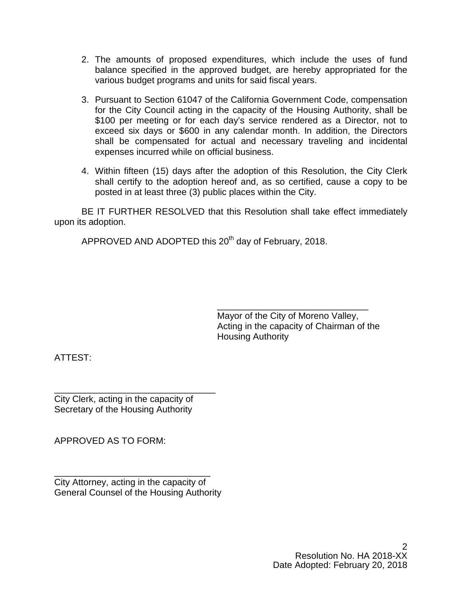- 2. The amounts of proposed expenditures, which include the uses of fund balance specified in the approved budget, are hereby appropriated for the various budget programs and units for said fiscal years.
- 3. Pursuant to Section 61047 of the California Government Code, compensation for the City Council acting in the capacity of the Housing Authority, shall be \$100 per meeting or for each day's service rendered as a Director, not to exceed six days or \$600 in any calendar month. In addition, the Directors shall be compensated for actual and necessary traveling and incidental expenses incurred while on official business.
- 4. Within fifteen (15) days after the adoption of this Resolution, the City Clerk shall certify to the adoption hereof and, as so certified, cause a copy to be posted in at least three (3) public places within the City.

BE IT FURTHER RESOLVED that this Resolution shall take effect immediately upon its adoption.

APPROVED AND ADOPTED this 20<sup>th</sup> day of February, 2018.

\_\_\_\_\_\_\_\_\_\_\_\_\_\_\_\_\_\_\_\_\_\_\_\_\_\_\_\_\_\_ Mayor of the City of Moreno Valley, Acting in the capacity of Chairman of the Housing Authority

ATTEST:

\_\_\_\_\_\_\_\_\_\_\_\_\_\_\_\_\_\_\_\_\_\_\_\_\_\_\_\_\_\_\_\_ City Clerk, acting in the capacity of Secretary of the Housing Authority

APPROVED AS TO FORM:

\_\_\_\_\_\_\_\_\_\_\_\_\_\_\_\_\_\_\_\_\_\_\_\_\_\_\_\_\_\_\_ City Attorney, acting in the capacity of General Counsel of the Housing Authority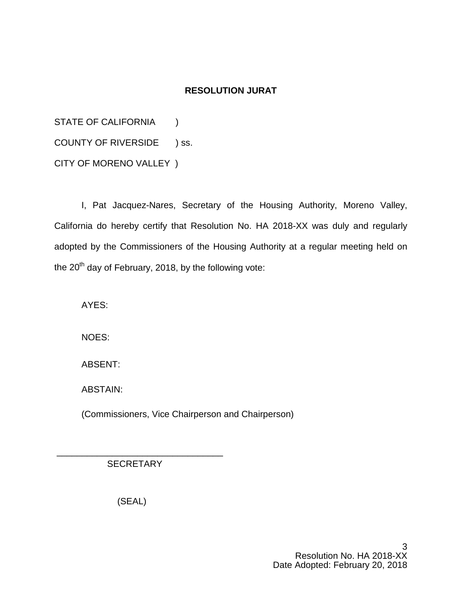# **RESOLUTION JURAT**

STATE OF CALIFORNIA (1) COUNTY OF RIVERSIDE ) ss. CITY OF MORENO VALLEY )

I, Pat Jacquez-Nares, Secretary of the Housing Authority, Moreno Valley, California do hereby certify that Resolution No. HA 2018-XX was duly and regularly adopted by the Commissioners of the Housing Authority at a regular meeting held on the  $20<sup>th</sup>$  day of February, 2018, by the following vote:

AYES:

NOES:

ABSENT:

ABSTAIN:

(Commissioners, Vice Chairperson and Chairperson)

**SECRETARY** 

\_\_\_\_\_\_\_\_\_\_\_\_\_\_\_\_\_\_\_\_\_\_\_\_\_\_\_\_\_\_\_\_\_

(SEAL)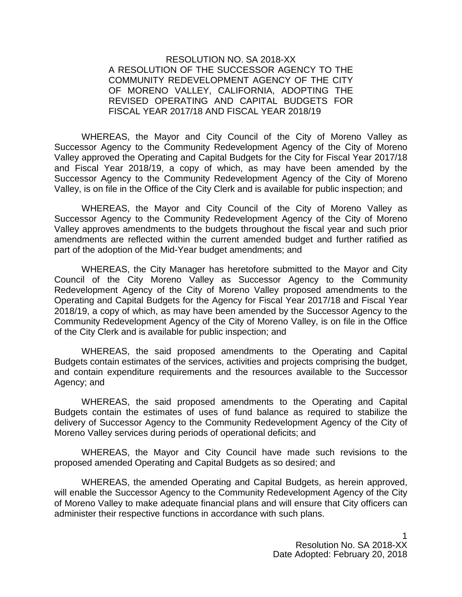RESOLUTION NO. SA 2018-XX A RESOLUTION OF THE SUCCESSOR AGENCY TO THE COMMUNITY REDEVELOPMENT AGENCY OF THE CITY OF MORENO VALLEY, CALIFORNIA, ADOPTING THE REVISED OPERATING AND CAPITAL BUDGETS FOR FISCAL YEAR 2017/18 AND FISCAL YEAR 2018/19

WHEREAS, the Mayor and City Council of the City of Moreno Valley as Successor Agency to the Community Redevelopment Agency of the City of Moreno Valley approved the Operating and Capital Budgets for the City for Fiscal Year 2017/18 and Fiscal Year 2018/19, a copy of which, as may have been amended by the Successor Agency to the Community Redevelopment Agency of the City of Moreno Valley, is on file in the Office of the City Clerk and is available for public inspection; and

WHEREAS, the Mayor and City Council of the City of Moreno Valley as Successor Agency to the Community Redevelopment Agency of the City of Moreno Valley approves amendments to the budgets throughout the fiscal year and such prior amendments are reflected within the current amended budget and further ratified as part of the adoption of the Mid-Year budget amendments; and

WHEREAS, the City Manager has heretofore submitted to the Mayor and City Council of the City Moreno Valley as Successor Agency to the Community Redevelopment Agency of the City of Moreno Valley proposed amendments to the Operating and Capital Budgets for the Agency for Fiscal Year 2017/18 and Fiscal Year 2018/19, a copy of which, as may have been amended by the Successor Agency to the Community Redevelopment Agency of the City of Moreno Valley, is on file in the Office of the City Clerk and is available for public inspection; and

WHEREAS, the said proposed amendments to the Operating and Capital Budgets contain estimates of the services, activities and projects comprising the budget, and contain expenditure requirements and the resources available to the Successor Agency; and

WHEREAS, the said proposed amendments to the Operating and Capital Budgets contain the estimates of uses of fund balance as required to stabilize the delivery of Successor Agency to the Community Redevelopment Agency of the City of Moreno Valley services during periods of operational deficits; and

WHEREAS, the Mayor and City Council have made such revisions to the proposed amended Operating and Capital Budgets as so desired; and

WHEREAS, the amended Operating and Capital Budgets, as herein approved, will enable the Successor Agency to the Community Redevelopment Agency of the City of Moreno Valley to make adequate financial plans and will ensure that City officers can administer their respective functions in accordance with such plans.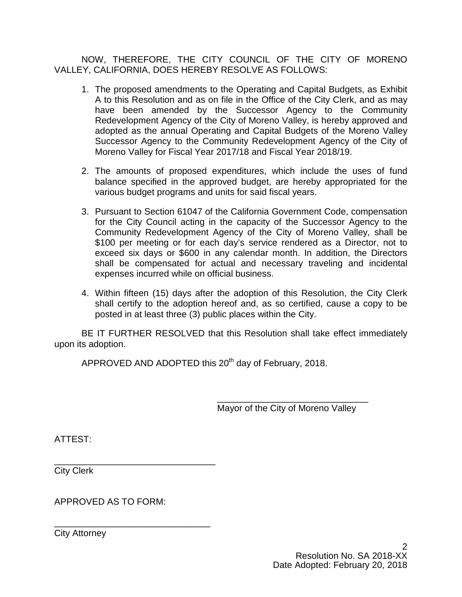NOW, THEREFORE, THE CITY COUNCIL OF THE CITY OF MORENO VALLEY, CALIFORNIA, DOES HEREBY RESOLVE AS FOLLOWS:

- 1. The proposed amendments to the Operating and Capital Budgets, as Exhibit A to this Resolution and as on file in the Office of the City Clerk, and as may have been amended by the Successor Agency to the Community Redevelopment Agency of the City of Moreno Valley, is hereby approved and adopted as the annual Operating and Capital Budgets of the Moreno Valley Successor Agency to the Community Redevelopment Agency of the City of Moreno Valley for Fiscal Year 2017/18 and Fiscal Year 2018/19.
- 2. The amounts of proposed expenditures, which include the uses of fund balance specified in the approved budget, are hereby appropriated for the various budget programs and units for said fiscal years.
- 3. Pursuant to Section 61047 of the California Government Code, compensation for the City Council acting in the capacity of the Successor Agency to the Community Redevelopment Agency of the City of Moreno Valley, shall be \$100 per meeting or for each day's service rendered as a Director, not to exceed six days or \$600 in any calendar month. In addition, the Directors shall be compensated for actual and necessary traveling and incidental expenses incurred while on official business.
- 4. Within fifteen (15) days after the adoption of this Resolution, the City Clerk shall certify to the adoption hereof and, as so certified, cause a copy to be posted in at least three (3) public places within the City.

BE IT FURTHER RESOLVED that this Resolution shall take effect immediately upon its adoption.

APPROVED AND ADOPTED this 20<sup>th</sup> day of February, 2018.

Mayor of the City of Moreno Valley

\_\_\_\_\_\_\_\_\_\_\_\_\_\_\_\_\_\_\_\_\_\_\_\_\_\_\_\_\_\_

ATTEST:

\_\_\_\_\_\_\_\_\_\_\_\_\_\_\_\_\_\_\_\_\_\_\_\_\_\_\_\_\_\_\_\_ City Clerk

APPROVED AS TO FORM:

\_\_\_\_\_\_\_\_\_\_\_\_\_\_\_\_\_\_\_\_\_\_\_\_\_\_\_\_\_\_\_ City Attorney